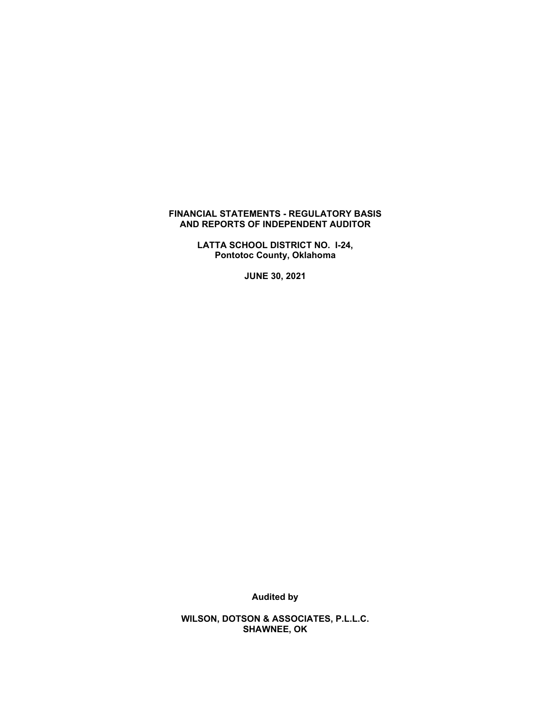# **FINANCIAL STATEMENTS - REGULATORY BASIS AND REPORTS OF INDEPENDENT AUDITOR**

**LATTA SCHOOL DISTRICT NO. I-24, Pontotoc County, Oklahoma**

**JUNE 30, 2021**

**Audited by**

**WILSON, DOTSON & ASSOCIATES, P.L.L.C. SHAWNEE, OK**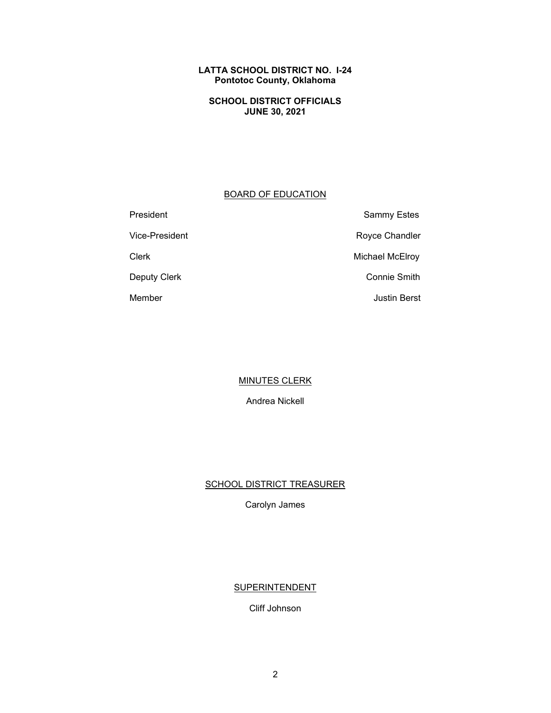# **SCHOOL DISTRICT OFFICIALS JUNE 30, 2021**

# BOARD OF EDUCATION

| President      | <b>Sammy Estes</b>  |
|----------------|---------------------|
| Vice-President | Royce Chandler      |
| Clerk          | Michael McElroy     |
| Deputy Clerk   | Connie Smith        |
| Member         | <b>Justin Berst</b> |

MINUTES CLERK

Andrea Nickell

**SCHOOL DISTRICT TREASURER** 

Carolyn James

# **SUPERINTENDENT**

Cliff Johnson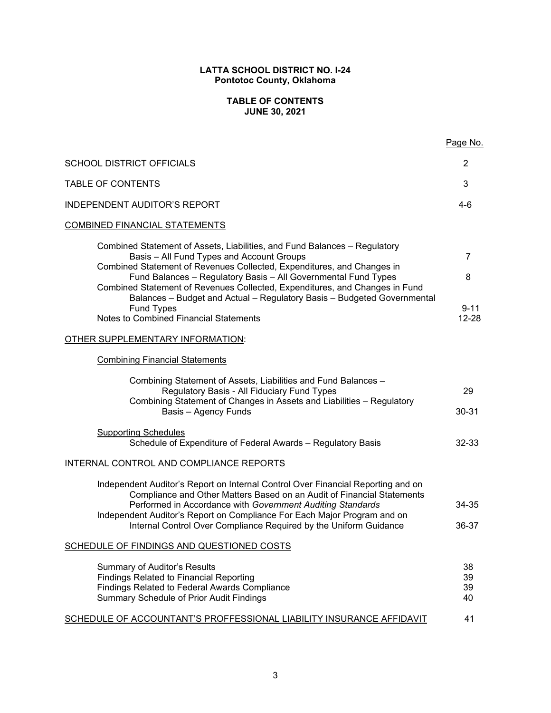# **TABLE OF CONTENTS JUNE 30, 2021**

|                                                                                                                                                                                                                                                                                                                                                                                                                                                                                             | Page No.                    |
|---------------------------------------------------------------------------------------------------------------------------------------------------------------------------------------------------------------------------------------------------------------------------------------------------------------------------------------------------------------------------------------------------------------------------------------------------------------------------------------------|-----------------------------|
| <b>SCHOOL DISTRICT OFFICIALS</b>                                                                                                                                                                                                                                                                                                                                                                                                                                                            | $\overline{2}$              |
| <b>TABLE OF CONTENTS</b>                                                                                                                                                                                                                                                                                                                                                                                                                                                                    | 3                           |
| <b>INDEPENDENT AUDITOR'S REPORT</b>                                                                                                                                                                                                                                                                                                                                                                                                                                                         | $4-6$                       |
| <b>COMBINED FINANCIAL STATEMENTS</b>                                                                                                                                                                                                                                                                                                                                                                                                                                                        |                             |
| Combined Statement of Assets, Liabilities, and Fund Balances - Regulatory<br>Basis - All Fund Types and Account Groups<br>Combined Statement of Revenues Collected, Expenditures, and Changes in<br>Fund Balances - Regulatory Basis - All Governmental Fund Types<br>Combined Statement of Revenues Collected, Expenditures, and Changes in Fund<br>Balances - Budget and Actual - Regulatory Basis - Budgeted Governmental<br><b>Fund Types</b><br>Notes to Combined Financial Statements | 7<br>8<br>$9 - 11$<br>12-28 |
| <b>OTHER SUPPLEMENTARY INFORMATION:</b>                                                                                                                                                                                                                                                                                                                                                                                                                                                     |                             |
| <b>Combining Financial Statements</b>                                                                                                                                                                                                                                                                                                                                                                                                                                                       |                             |
| Combining Statement of Assets, Liabilities and Fund Balances -<br>Regulatory Basis - All Fiduciary Fund Types<br>Combining Statement of Changes in Assets and Liabilities - Regulatory<br><b>Basis - Agency Funds</b>                                                                                                                                                                                                                                                                       | 29<br>$30 - 31$             |
| <b>Supporting Schedules</b><br>Schedule of Expenditure of Federal Awards - Regulatory Basis                                                                                                                                                                                                                                                                                                                                                                                                 | 32-33                       |
| INTERNAL CONTROL AND COMPLIANCE REPORTS                                                                                                                                                                                                                                                                                                                                                                                                                                                     |                             |
| Independent Auditor's Report on Internal Control Over Financial Reporting and on<br>Compliance and Other Matters Based on an Audit of Financial Statements<br>Performed in Accordance with Government Auditing Standards<br>Independent Auditor's Report on Compliance For Each Major Program and on<br>Internal Control Over Compliance Required by the Uniform Guidance                                                                                                                   | 34-35<br>36-37              |
| SCHEDULE OF FINDINGS AND QUESTIONED COSTS                                                                                                                                                                                                                                                                                                                                                                                                                                                   |                             |
| Summary of Auditor's Results<br><b>Findings Related to Financial Reporting</b><br>Findings Related to Federal Awards Compliance<br>Summary Schedule of Prior Audit Findings                                                                                                                                                                                                                                                                                                                 | 38<br>39<br>39<br>40        |
| SCHEDULE OF ACCOUNTANT'S PROFFESSIONAL LIABILITY INSURANCE AFFIDAVIT                                                                                                                                                                                                                                                                                                                                                                                                                        | 41                          |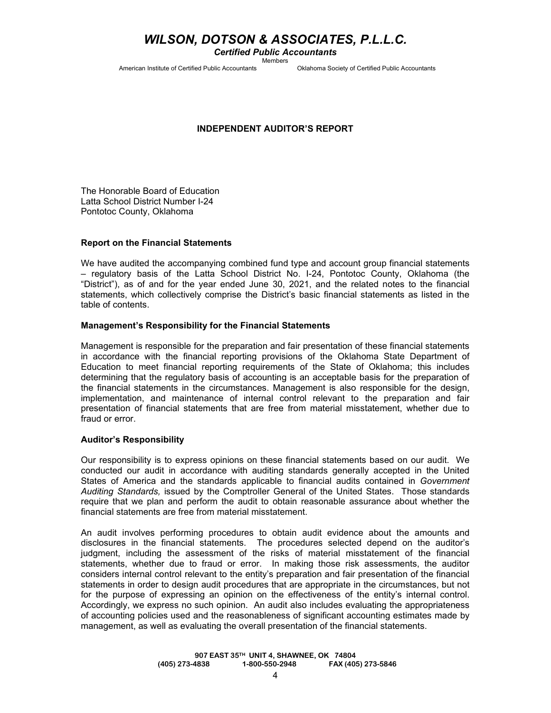# *WILSON, DOTSON & ASSOCIATES, P.L.L.C.*

*Certified Public Accountants* Members

American Institute of Certified Public Accountants Oklahoma Society of Certified Public Accountants

#### **INDEPENDENT AUDITOR'S REPORT**

The Honorable Board of Education Latta School District Number I-24 Pontotoc County, Oklahoma

#### **Report on the Financial Statements**

We have audited the accompanying combined fund type and account group financial statements – regulatory basis of the Latta School District No. I-24, Pontotoc County, Oklahoma (the "District"), as of and for the year ended June 30, 2021, and the related notes to the financial statements, which collectively comprise the District's basic financial statements as listed in the table of contents.

#### **Management's Responsibility for the Financial Statements**

Management is responsible for the preparation and fair presentation of these financial statements in accordance with the financial reporting provisions of the Oklahoma State Department of Education to meet financial reporting requirements of the State of Oklahoma; this includes determining that the regulatory basis of accounting is an acceptable basis for the preparation of the financial statements in the circumstances. Management is also responsible for the design, implementation, and maintenance of internal control relevant to the preparation and fair presentation of financial statements that are free from material misstatement, whether due to fraud or error.

#### **Auditor's Responsibility**

Our responsibility is to express opinions on these financial statements based on our audit. We conducted our audit in accordance with auditing standards generally accepted in the United States of America and the standards applicable to financial audits contained in *Government Auditing Standards,* issued by the Comptroller General of the United States. Those standards require that we plan and perform the audit to obtain reasonable assurance about whether the financial statements are free from material misstatement.

An audit involves performing procedures to obtain audit evidence about the amounts and disclosures in the financial statements. The procedures selected depend on the auditor's judgment, including the assessment of the risks of material misstatement of the financial statements, whether due to fraud or error. In making those risk assessments, the auditor considers internal control relevant to the entity's preparation and fair presentation of the financial statements in order to design audit procedures that are appropriate in the circumstances, but not for the purpose of expressing an opinion on the effectiveness of the entity's internal control. Accordingly, we express no such opinion. An audit also includes evaluating the appropriateness of accounting policies used and the reasonableness of significant accounting estimates made by management, as well as evaluating the overall presentation of the financial statements.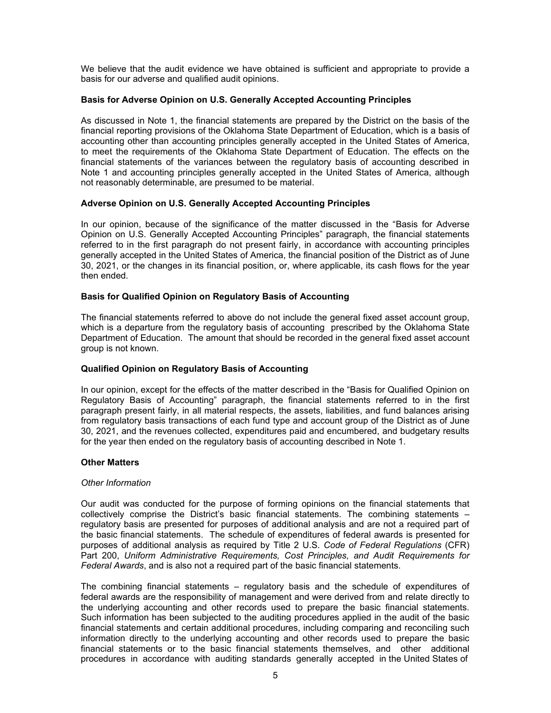We believe that the audit evidence we have obtained is sufficient and appropriate to provide a basis for our adverse and qualified audit opinions.

#### **Basis for Adverse Opinion on U.S. Generally Accepted Accounting Principles**

As discussed in Note 1, the financial statements are prepared by the District on the basis of the financial reporting provisions of the Oklahoma State Department of Education, which is a basis of accounting other than accounting principles generally accepted in the United States of America, to meet the requirements of the Oklahoma State Department of Education. The effects on the financial statements of the variances between the regulatory basis of accounting described in Note 1 and accounting principles generally accepted in the United States of America, although not reasonably determinable, are presumed to be material.

#### **Adverse Opinion on U.S. Generally Accepted Accounting Principles**

In our opinion, because of the significance of the matter discussed in the "Basis for Adverse Opinion on U.S. Generally Accepted Accounting Principles" paragraph, the financial statements referred to in the first paragraph do not present fairly, in accordance with accounting principles generally accepted in the United States of America, the financial position of the District as of June 30, 2021, or the changes in its financial position, or, where applicable, its cash flows for the year then ended.

#### **Basis for Qualified Opinion on Regulatory Basis of Accounting**

The financial statements referred to above do not include the general fixed asset account group, which is a departure from the regulatory basis of accounting prescribed by the Oklahoma State Department of Education. The amount that should be recorded in the general fixed asset account group is not known.

#### **Qualified Opinion on Regulatory Basis of Accounting**

In our opinion, except for the effects of the matter described in the "Basis for Qualified Opinion on Regulatory Basis of Accounting" paragraph, the financial statements referred to in the first paragraph present fairly, in all material respects, the assets, liabilities, and fund balances arising from regulatory basis transactions of each fund type and account group of the District as of June 30, 2021, and the revenues collected, expenditures paid and encumbered, and budgetary results for the year then ended on the regulatory basis of accounting described in Note 1.

#### **Other Matters**

#### *Other Information*

Our audit was conducted for the purpose of forming opinions on the financial statements that collectively comprise the District's basic financial statements. The combining statements – regulatory basis are presented for purposes of additional analysis and are not a required part of the basic financial statements. The schedule of expenditures of federal awards is presented for purposes of additional analysis as required by Title 2 U.S. *Code of Federal Regulations* (CFR) Part 200, *Uniform Administrative Requirements, Cost Principles, and Audit Requirements for Federal Awards*, and is also not a required part of the basic financial statements.

The combining financial statements – regulatory basis and the schedule of expenditures of federal awards are the responsibility of management and were derived from and relate directly to the underlying accounting and other records used to prepare the basic financial statements. Such information has been subjected to the auditing procedures applied in the audit of the basic financial statements and certain additional procedures, including comparing and reconciling such information directly to the underlying accounting and other records used to prepare the basic financial statements or to the basic financial statements themselves, and other additional procedures in accordance with auditing standards generally accepted in the United States of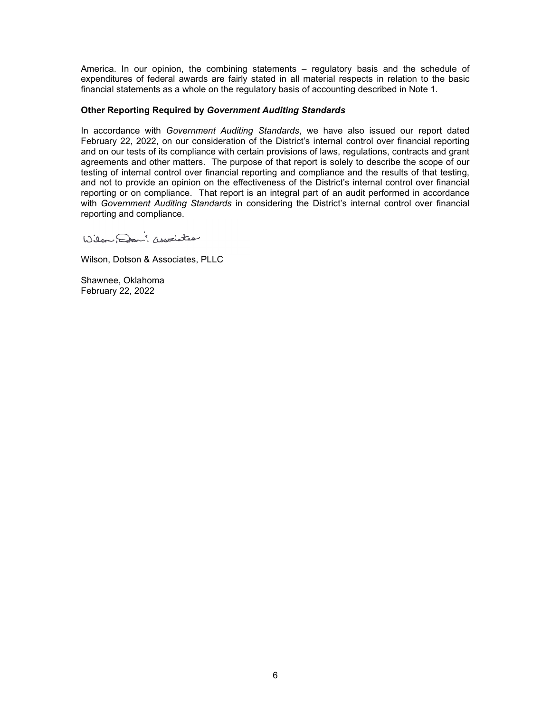America. In our opinion, the combining statements – regulatory basis and the schedule of expenditures of federal awards are fairly stated in all material respects in relation to the basic financial statements as a whole on the regulatory basis of accounting described in Note 1.

#### **Other Reporting Required by** *Government Auditing Standards*

In accordance with *Government Auditing Standards*, we have also issued our report dated February 22, 2022, on our consideration of the District's internal control over financial reporting and on our tests of its compliance with certain provisions of laws, regulations, contracts and grant agreements and other matters. The purpose of that report is solely to describe the scope of our testing of internal control over financial reporting and compliance and the results of that testing, and not to provide an opinion on the effectiveness of the District's internal control over financial reporting or on compliance. That report is an integral part of an audit performed in accordance with *Government Auditing Standards* in considering the District's internal control over financial reporting and compliance.

Wilson, Don: associates

Wilson, Dotson & Associates, PLLC

Shawnee, Oklahoma February 22, 2022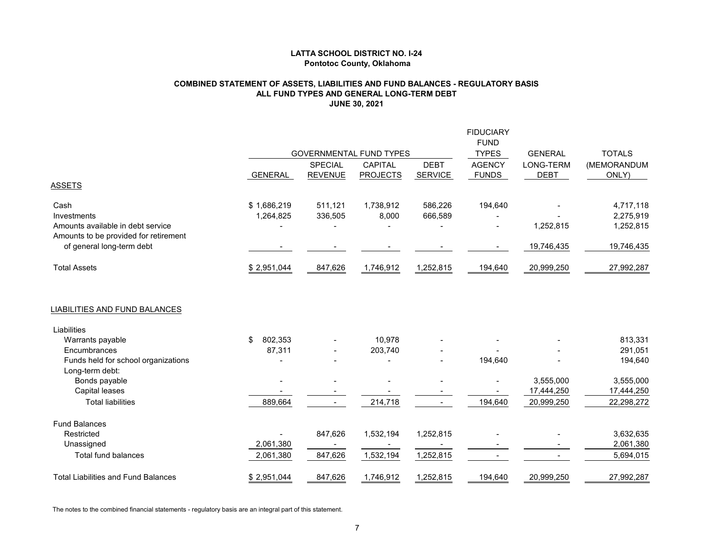### **COMBINED STATEMENT OF ASSETS, LIABILITIES AND FUND BALANCES - REGULATORY BASIS ALL FUND TYPES AND GENERAL LONG-TERM DEBT JUNE 30, 2021**

|                                                                            |                |                |                                |                | <b>FIDUCIARY</b> |                |               |
|----------------------------------------------------------------------------|----------------|----------------|--------------------------------|----------------|------------------|----------------|---------------|
|                                                                            |                |                |                                |                | <b>FUND</b>      |                |               |
|                                                                            |                |                | <b>GOVERNMENTAL FUND TYPES</b> |                | <b>TYPES</b>     | <b>GENERAL</b> | <b>TOTALS</b> |
|                                                                            |                | <b>SPECIAL</b> | <b>CAPITAL</b>                 | <b>DEBT</b>    | <b>AGENCY</b>    | LONG-TERM      | (MEMORANDUM   |
|                                                                            | <b>GENERAL</b> | <b>REVENUE</b> | <b>PROJECTS</b>                | <b>SERVICE</b> | <b>FUNDS</b>     | <b>DEBT</b>    | ONLY)         |
| <b>ASSETS</b>                                                              |                |                |                                |                |                  |                |               |
| Cash                                                                       | \$1,686,219    | 511,121        | 1,738,912                      | 586,226        | 194,640          |                | 4,717,118     |
| Investments                                                                | 1,264,825      | 336,505        | 8,000                          | 666.589        |                  |                | 2,275,919     |
| Amounts available in debt service<br>Amounts to be provided for retirement |                |                |                                |                | $\overline{a}$   | 1,252,815      | 1,252,815     |
| of general long-term debt                                                  |                |                |                                |                |                  | 19,746,435     | 19,746,435    |
| <b>Total Assets</b>                                                        | \$2,951,044    | 847,626        | 1,746,912                      | 1,252,815      | 194,640          | 20,999,250     | 27,992,287    |
| <b>LIABILITIES AND FUND BALANCES</b><br>Liabilities                        |                |                |                                |                |                  |                |               |
| Warrants payable                                                           | \$<br>802,353  |                | 10,978                         |                |                  |                | 813,331       |
| Encumbrances                                                               | 87,311         |                | 203,740                        |                |                  |                | 291,051       |
| Funds held for school organizations                                        |                |                |                                |                | 194,640          |                | 194,640       |
| Long-term debt:                                                            |                |                |                                |                |                  |                |               |
| Bonds payable                                                              |                |                |                                |                |                  | 3,555,000      | 3,555,000     |
| Capital leases                                                             |                |                | $\blacksquare$                 |                |                  | 17,444,250     | 17,444,250    |
| <b>Total liabilities</b>                                                   | 889,664        |                | 214,718                        | $\blacksquare$ | 194,640          | 20,999,250     | 22,298,272    |
| <b>Fund Balances</b>                                                       |                |                |                                |                |                  |                |               |
| Restricted                                                                 |                | 847,626        | 1,532,194                      | 1,252,815      |                  |                | 3,632,635     |
| Unassigned                                                                 | 2,061,380      |                |                                | $\blacksquare$ |                  |                | 2,061,380     |
| <b>Total fund balances</b>                                                 | 2,061,380      | 847,626        | 1,532,194                      | 1,252,815      |                  |                | 5,694,015     |
| <b>Total Liabilities and Fund Balances</b>                                 | \$2,951,044    | 847,626        | 1,746,912                      | 1,252,815      | 194,640          | 20,999,250     | 27,992,287    |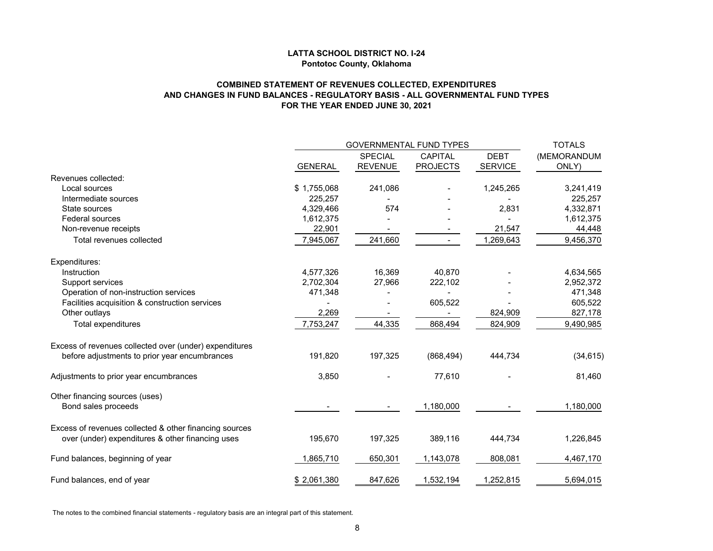#### **COMBINED STATEMENT OF REVENUES COLLECTED, EXPENDITURES AND CHANGES IN FUND BALANCES - REGULATORY BASIS - ALL GOVERNMENTAL FUND TYPES FOR THE YEAR ENDED JUNE 30, 2021**

|                                                        | <b>GOVERNMENTAL FUND TYPES</b> |                                  | <b>TOTALS</b>                     |                               |                      |  |
|--------------------------------------------------------|--------------------------------|----------------------------------|-----------------------------------|-------------------------------|----------------------|--|
|                                                        | <b>GENERAL</b>                 | <b>SPECIAL</b><br><b>REVENUE</b> | <b>CAPITAL</b><br><b>PROJECTS</b> | <b>DEBT</b><br><b>SERVICE</b> | (MEMORANDUM<br>ONLY) |  |
| Revenues collected:                                    |                                |                                  |                                   |                               |                      |  |
| Local sources                                          | \$1,755,068                    | 241,086                          |                                   | 1,245,265                     | 3,241,419            |  |
| Intermediate sources                                   | 225,257                        |                                  |                                   |                               | 225,257              |  |
| State sources                                          | 4,329,466                      | 574                              |                                   | 2,831                         | 4,332,871            |  |
| <b>Federal sources</b>                                 | 1,612,375                      |                                  |                                   |                               | 1,612,375            |  |
| Non-revenue receipts                                   | 22,901                         |                                  |                                   | 21,547                        | 44,448               |  |
| Total revenues collected                               | 7,945,067                      | 241,660                          |                                   | 1,269,643                     | 9,456,370            |  |
| Expenditures:                                          |                                |                                  |                                   |                               |                      |  |
| Instruction                                            | 4,577,326                      | 16,369                           | 40,870                            |                               | 4,634,565            |  |
| Support services                                       | 2,702,304                      | 27,966                           | 222,102                           |                               | 2,952,372            |  |
| Operation of non-instruction services                  | 471,348                        |                                  |                                   |                               | 471,348              |  |
| Facilities acquisition & construction services         |                                |                                  | 605,522                           |                               | 605,522              |  |
| Other outlays                                          | 2,269                          |                                  |                                   | 824,909                       | 827,178              |  |
| Total expenditures                                     | 7,753,247                      | 44,335                           | 868,494                           | 824,909                       | 9,490,985            |  |
| Excess of revenues collected over (under) expenditures |                                |                                  |                                   |                               |                      |  |
| before adjustments to prior year encumbrances          | 191,820                        | 197,325                          | (868, 494)                        | 444,734                       | (34, 615)            |  |
| Adjustments to prior year encumbrances                 | 3,850                          |                                  | 77,610                            |                               | 81,460               |  |
| Other financing sources (uses)                         |                                |                                  |                                   |                               |                      |  |
| Bond sales proceeds                                    |                                |                                  | 1,180,000                         |                               | 1,180,000            |  |
| Excess of revenues collected & other financing sources |                                |                                  |                                   |                               |                      |  |
| over (under) expenditures & other financing uses       | 195,670                        | 197,325                          | 389,116                           | 444,734                       | 1,226,845            |  |
| Fund balances, beginning of year                       | 1,865,710                      | 650,301                          | 1,143,078                         | 808,081                       | 4,467,170            |  |
| Fund balances, end of year                             | \$2,061,380                    | 847,626                          | 1,532,194                         | 1,252,815                     | 5,694,015            |  |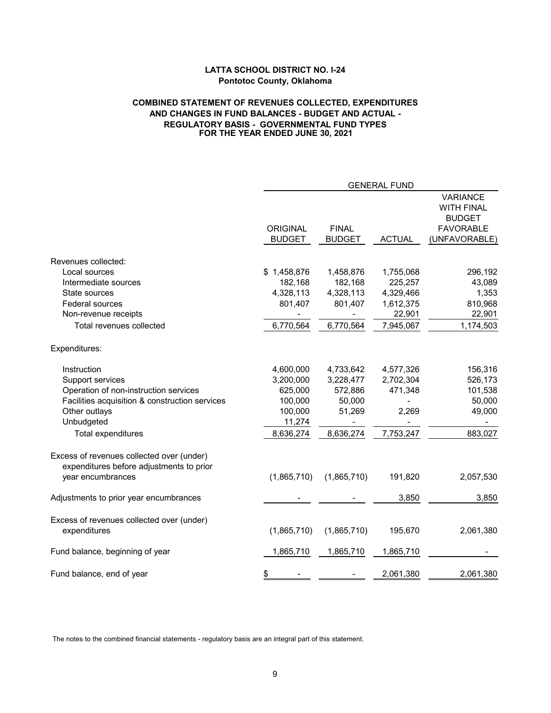#### **COMBINED STATEMENT OF REVENUES COLLECTED, EXPENDITURES AND CHANGES IN FUND BALANCES - BUDGET AND ACTUAL - REGULATORY BASIS - GOVERNMENTAL FUND TYPES FOR THE YEAR ENDED JUNE 30, 2021**

|                                                                                       | <b>GENERAL FUND</b>              |                               |               |                                                       |  |  |  |
|---------------------------------------------------------------------------------------|----------------------------------|-------------------------------|---------------|-------------------------------------------------------|--|--|--|
|                                                                                       |                                  |                               |               | <b>VARIANCE</b><br><b>WITH FINAL</b><br><b>BUDGET</b> |  |  |  |
|                                                                                       | <b>ORIGINAL</b><br><b>BUDGET</b> | <b>FINAL</b><br><b>BUDGET</b> | <b>ACTUAL</b> | <b>FAVORABLE</b><br>(UNFAVORABLE)                     |  |  |  |
|                                                                                       |                                  |                               |               |                                                       |  |  |  |
| Revenues collected:                                                                   |                                  |                               |               |                                                       |  |  |  |
| Local sources                                                                         | \$1,458,876                      | 1,458,876                     | 1,755,068     | 296,192                                               |  |  |  |
| Intermediate sources                                                                  | 182,168                          | 182,168                       | 225,257       | 43,089                                                |  |  |  |
| State sources                                                                         | 4,328,113                        | 4,328,113                     | 4,329,466     | 1,353                                                 |  |  |  |
| Federal sources                                                                       | 801,407                          | 801,407                       | 1,612,375     | 810,968                                               |  |  |  |
| Non-revenue receipts                                                                  |                                  |                               | 22,901        | 22,901                                                |  |  |  |
| Total revenues collected                                                              | 6,770,564                        | 6,770,564                     | 7,945,067     | 1,174,503                                             |  |  |  |
| Expenditures:                                                                         |                                  |                               |               |                                                       |  |  |  |
| Instruction                                                                           | 4,600,000                        | 4,733,642                     | 4,577,326     | 156,316                                               |  |  |  |
| Support services                                                                      | 3,200,000                        | 3,228,477                     | 2,702,304     | 526,173                                               |  |  |  |
| Operation of non-instruction services                                                 | 625,000                          | 572,886                       | 471,348       | 101,538                                               |  |  |  |
| Facilities acquisition & construction services                                        | 100,000                          | 50,000                        |               | 50,000                                                |  |  |  |
| Other outlays                                                                         | 100,000                          | 51,269                        | 2,269         | 49,000                                                |  |  |  |
| Unbudgeted                                                                            | 11,274                           |                               |               |                                                       |  |  |  |
| Total expenditures                                                                    | 8,636,274                        | 8,636,274                     | 7,753,247     | 883,027                                               |  |  |  |
| Excess of revenues collected over (under)<br>expenditures before adjustments to prior |                                  |                               |               |                                                       |  |  |  |
| year encumbrances                                                                     | (1,865,710)                      | (1,865,710)                   | 191,820       | 2,057,530                                             |  |  |  |
| Adjustments to prior year encumbrances                                                |                                  |                               | 3,850         | 3,850                                                 |  |  |  |
| Excess of revenues collected over (under)<br>expenditures                             | (1,865,710)                      | (1,865,710)                   | 195,670       | 2,061,380                                             |  |  |  |
| Fund balance, beginning of year                                                       | 1,865,710                        | 1,865,710                     | 1,865,710     |                                                       |  |  |  |
| Fund balance, end of year                                                             | \$                               |                               | 2,061,380     | 2,061,380                                             |  |  |  |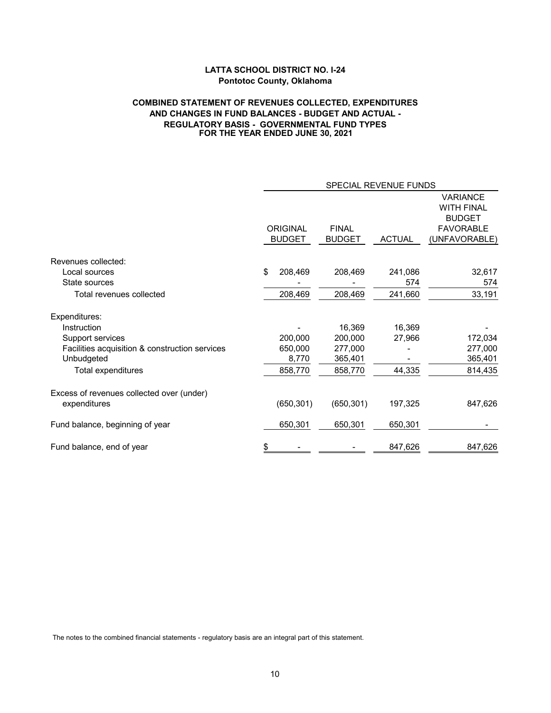#### **COMBINED STATEMENT OF REVENUES COLLECTED, EXPENDITURES AND CHANGES IN FUND BALANCES - BUDGET AND ACTUAL - REGULATORY BASIS - GOVERNMENTAL FUND TYPES FOR THE YEAR ENDED JUNE 30, 2021**

|                                                |                           |                               | <b>SPECIAL REVENUE FUNDS</b> |                                                                                            |
|------------------------------------------------|---------------------------|-------------------------------|------------------------------|--------------------------------------------------------------------------------------------|
|                                                | ORIGINAL<br><b>BUDGET</b> | <b>FINAL</b><br><b>BUDGET</b> | <b>ACTUAL</b>                | <b>VARIANCE</b><br><b>WITH FINAL</b><br><b>BUDGET</b><br><b>FAVORABLE</b><br>(UNFAVORABLE) |
| Revenues collected:                            |                           |                               |                              |                                                                                            |
| Local sources                                  | \$<br>208,469             | 208,469                       | 241,086                      | 32,617                                                                                     |
| State sources                                  |                           |                               | 574                          | 574                                                                                        |
| Total revenues collected                       | 208,469                   | 208,469                       | 241,660                      | 33,191                                                                                     |
| Expenditures:                                  |                           |                               |                              |                                                                                            |
| Instruction                                    |                           | 16,369                        | 16,369                       |                                                                                            |
| Support services                               | 200,000                   | 200,000                       | 27,966                       | 172,034                                                                                    |
| Facilities acquisition & construction services | 650,000                   | 277,000                       |                              | 277,000                                                                                    |
| Unbudgeted                                     | 8,770                     | 365,401                       |                              | 365,401                                                                                    |
| Total expenditures                             | 858,770                   | 858,770                       | 44,335                       | 814,435                                                                                    |
| Excess of revenues collected over (under)      |                           |                               |                              |                                                                                            |
| expenditures                                   | (650, 301)                | (650, 301)                    | 197,325                      | 847,626                                                                                    |
| Fund balance, beginning of year                | 650,301                   | 650,301                       | 650,301                      |                                                                                            |
| Fund balance, end of year                      |                           |                               | 847,626                      | 847,626                                                                                    |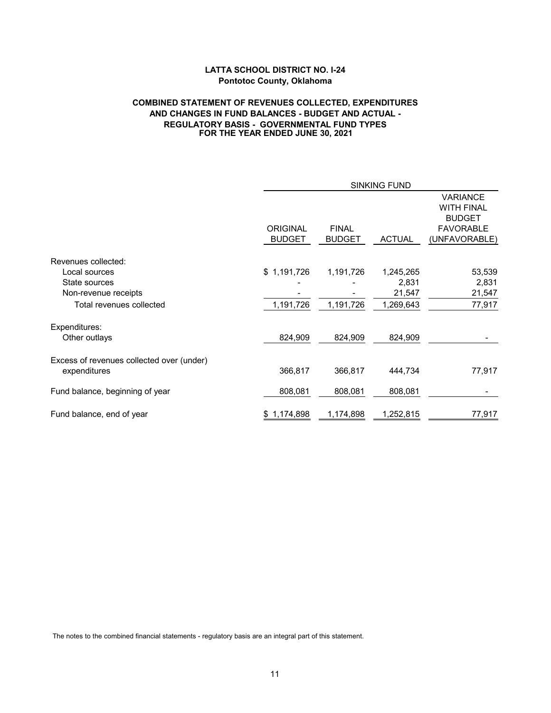#### **COMBINED STATEMENT OF REVENUES COLLECTED, EXPENDITURES AND CHANGES IN FUND BALANCES - BUDGET AND ACTUAL - REGULATORY BASIS - GOVERNMENTAL FUND TYPES FOR THE YEAR ENDED JUNE 30, 2021**

|                                           |                                  |                               | <b>SINKING FUND</b> |                                                                                            |
|-------------------------------------------|----------------------------------|-------------------------------|---------------------|--------------------------------------------------------------------------------------------|
|                                           | <b>ORIGINAL</b><br><b>BUDGET</b> | <b>FINAL</b><br><b>BUDGET</b> | <b>ACTUAL</b>       | <b>VARIANCE</b><br><b>WITH FINAL</b><br><b>BUDGET</b><br><b>FAVORABLE</b><br>(UNFAVORABLE) |
| Revenues collected:                       |                                  |                               |                     |                                                                                            |
| Local sources                             | \$1,191,726                      | 1,191,726                     | 1,245,265           | 53,539                                                                                     |
| State sources                             |                                  |                               | 2,831               | 2,831                                                                                      |
| Non-revenue receipts                      |                                  |                               | 21,547              | 21,547                                                                                     |
| Total revenues collected                  | 1,191,726                        | 1,191,726                     | 1,269,643           | 77,917                                                                                     |
| Expenditures:                             |                                  |                               |                     |                                                                                            |
| Other outlays                             | 824,909                          | 824,909                       | 824,909             |                                                                                            |
| Excess of revenues collected over (under) |                                  |                               |                     |                                                                                            |
| expenditures                              | 366,817                          | 366,817                       | 444,734             | 77,917                                                                                     |
| Fund balance, beginning of year           | 808,081                          | 808,081                       | 808,081             |                                                                                            |
| Fund balance, end of year                 | 1,174,898<br>\$                  | 1,174,898                     | 1,252,815           | 77,917                                                                                     |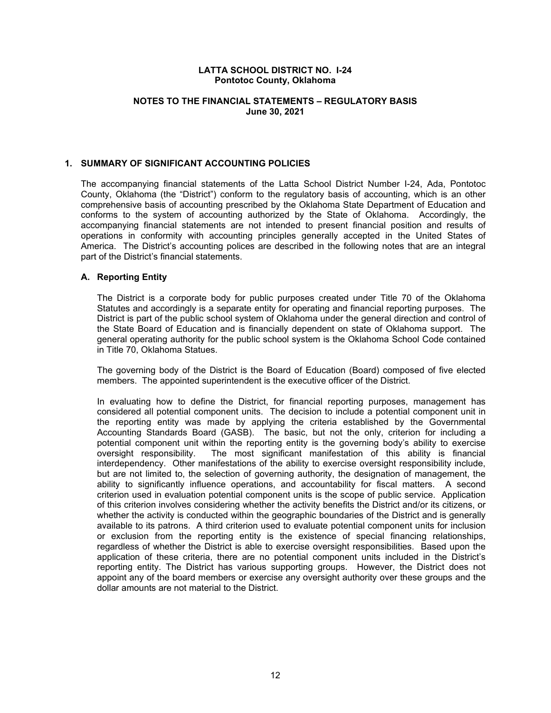## **NOTES TO THE FINANCIAL STATEMENTS – REGULATORY BASIS June 30, 2021**

#### **1. SUMMARY OF SIGNIFICANT ACCOUNTING POLICIES**

The accompanying financial statements of the Latta School District Number I-24, Ada, Pontotoc County, Oklahoma (the "District") conform to the regulatory basis of accounting, which is an other comprehensive basis of accounting prescribed by the Oklahoma State Department of Education and conforms to the system of accounting authorized by the State of Oklahoma. Accordingly, the accompanying financial statements are not intended to present financial position and results of operations in conformity with accounting principles generally accepted in the United States of America. The District's accounting polices are described in the following notes that are an integral part of the District's financial statements.

# **A. Reporting Entity**

The District is a corporate body for public purposes created under Title 70 of the Oklahoma Statutes and accordingly is a separate entity for operating and financial reporting purposes. The District is part of the public school system of Oklahoma under the general direction and control of the State Board of Education and is financially dependent on state of Oklahoma support. The general operating authority for the public school system is the Oklahoma School Code contained in Title 70, Oklahoma Statues.

The governing body of the District is the Board of Education (Board) composed of five elected members. The appointed superintendent is the executive officer of the District.

In evaluating how to define the District, for financial reporting purposes, management has considered all potential component units. The decision to include a potential component unit in the reporting entity was made by applying the criteria established by the Governmental Accounting Standards Board (GASB). The basic, but not the only, criterion for including a potential component unit within the reporting entity is the governing body's ability to exercise oversight responsibility. The most significant manifestation of this ability is financial interdependency. Other manifestations of the ability to exercise oversight responsibility include, but are not limited to, the selection of governing authority, the designation of management, the ability to significantly influence operations, and accountability for fiscal matters. A second criterion used in evaluation potential component units is the scope of public service. Application of this criterion involves considering whether the activity benefits the District and/or its citizens, or whether the activity is conducted within the geographic boundaries of the District and is generally available to its patrons. A third criterion used to evaluate potential component units for inclusion or exclusion from the reporting entity is the existence of special financing relationships, regardless of whether the District is able to exercise oversight responsibilities. Based upon the application of these criteria, there are no potential component units included in the District's reporting entity. The District has various supporting groups. However, the District does not appoint any of the board members or exercise any oversight authority over these groups and the dollar amounts are not material to the District.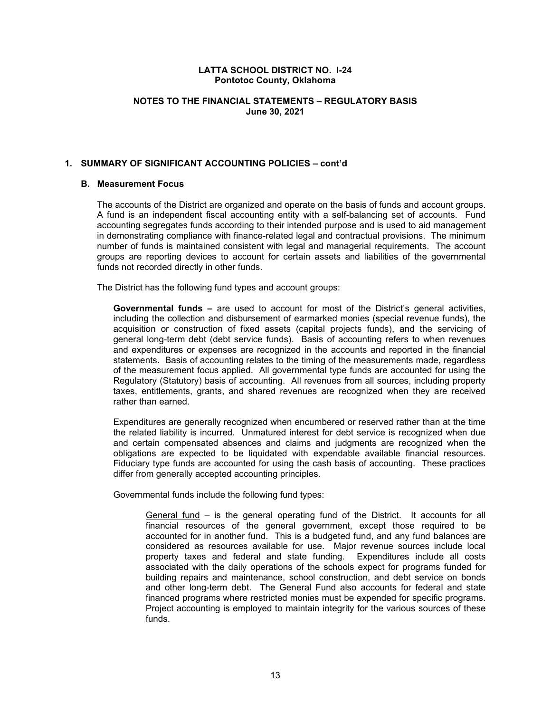# **NOTES TO THE FINANCIAL STATEMENTS – REGULATORY BASIS June 30, 2021**

#### **1. SUMMARY OF SIGNIFICANT ACCOUNTING POLICIES – cont'd**

#### **B. Measurement Focus**

The accounts of the District are organized and operate on the basis of funds and account groups. A fund is an independent fiscal accounting entity with a self-balancing set of accounts. Fund accounting segregates funds according to their intended purpose and is used to aid management in demonstrating compliance with finance-related legal and contractual provisions. The minimum number of funds is maintained consistent with legal and managerial requirements. The account groups are reporting devices to account for certain assets and liabilities of the governmental funds not recorded directly in other funds.

The District has the following fund types and account groups:

**Governmental funds –** are used to account for most of the District's general activities, including the collection and disbursement of earmarked monies (special revenue funds), the acquisition or construction of fixed assets (capital projects funds), and the servicing of general long-term debt (debt service funds). Basis of accounting refers to when revenues and expenditures or expenses are recognized in the accounts and reported in the financial statements. Basis of accounting relates to the timing of the measurements made, regardless of the measurement focus applied. All governmental type funds are accounted for using the Regulatory (Statutory) basis of accounting. All revenues from all sources, including property taxes, entitlements, grants, and shared revenues are recognized when they are received rather than earned.

Expenditures are generally recognized when encumbered or reserved rather than at the time the related liability is incurred. Unmatured interest for debt service is recognized when due and certain compensated absences and claims and judgments are recognized when the obligations are expected to be liquidated with expendable available financial resources. Fiduciary type funds are accounted for using the cash basis of accounting. These practices differ from generally accepted accounting principles.

Governmental funds include the following fund types:

General fund – is the general operating fund of the District. It accounts for all financial resources of the general government, except those required to be accounted for in another fund. This is a budgeted fund, and any fund balances are considered as resources available for use. Major revenue sources include local property taxes and federal and state funding. Expenditures include all costs associated with the daily operations of the schools expect for programs funded for building repairs and maintenance, school construction, and debt service on bonds and other long-term debt. The General Fund also accounts for federal and state financed programs where restricted monies must be expended for specific programs. Project accounting is employed to maintain integrity for the various sources of these funds.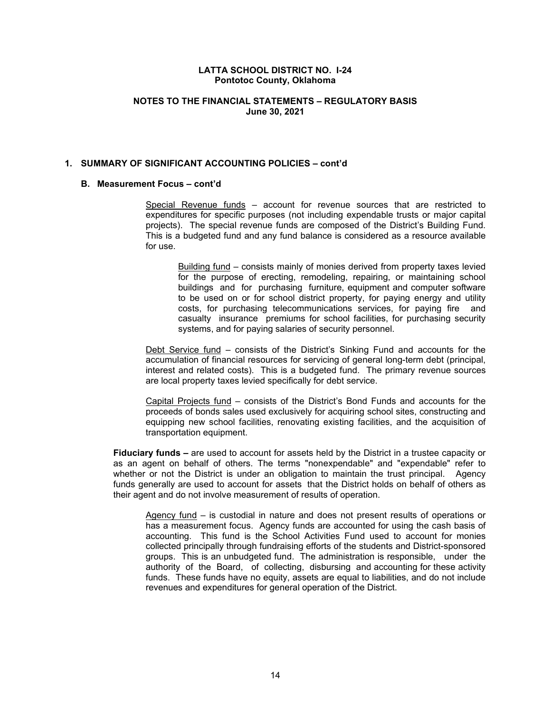# **NOTES TO THE FINANCIAL STATEMENTS – REGULATORY BASIS June 30, 2021**

#### **1. SUMMARY OF SIGNIFICANT ACCOUNTING POLICIES – cont'd**

#### **B. Measurement Focus – cont'd**

Special Revenue funds - account for revenue sources that are restricted to expenditures for specific purposes (not including expendable trusts or major capital projects). The special revenue funds are composed of the District's Building Fund. This is a budgeted fund and any fund balance is considered as a resource available for use.

Building fund – consists mainly of monies derived from property taxes levied for the purpose of erecting, remodeling, repairing, or maintaining school buildings and for purchasing furniture, equipment and computer software to be used on or for school district property, for paying energy and utility costs, for purchasing telecommunications services, for paying fire and casualty insurance premiums for school facilities, for purchasing security systems, and for paying salaries of security personnel.

Debt Service fund – consists of the District's Sinking Fund and accounts for the accumulation of financial resources for servicing of general long-term debt (principal, interest and related costs). This is a budgeted fund. The primary revenue sources are local property taxes levied specifically for debt service.

Capital Projects fund – consists of the District's Bond Funds and accounts for the proceeds of bonds sales used exclusively for acquiring school sites, constructing and equipping new school facilities, renovating existing facilities, and the acquisition of transportation equipment.

**Fiduciary funds –** are used to account for assets held by the District in a trustee capacity or as an agent on behalf of others. The terms "nonexpendable" and "expendable" refer to whether or not the District is under an obligation to maintain the trust principal. Agency funds generally are used to account for assets that the District holds on behalf of others as their agent and do not involve measurement of results of operation.

Agency fund – is custodial in nature and does not present results of operations or has a measurement focus. Agency funds are accounted for using the cash basis of accounting. This fund is the School Activities Fund used to account for monies collected principally through fundraising efforts of the students and District-sponsored groups. This is an unbudgeted fund. The administration is responsible, under the authority of the Board, of collecting, disbursing and accounting for these activity funds. These funds have no equity, assets are equal to liabilities, and do not include revenues and expenditures for general operation of the District.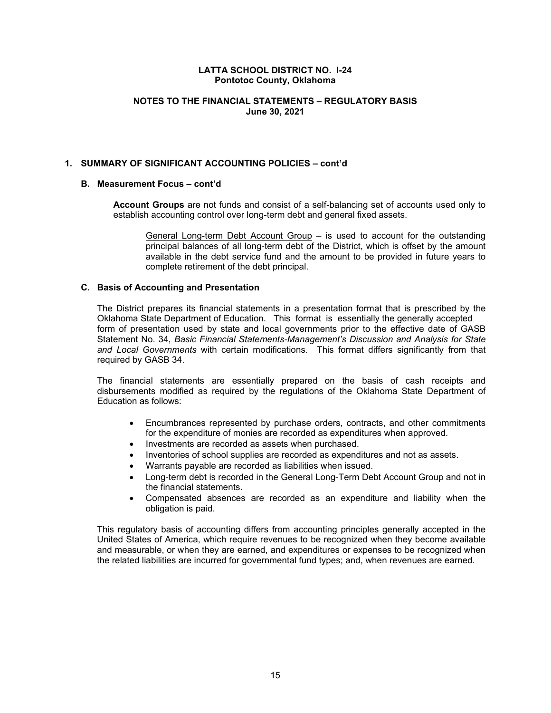# **NOTES TO THE FINANCIAL STATEMENTS – REGULATORY BASIS June 30, 2021**

#### **1. SUMMARY OF SIGNIFICANT ACCOUNTING POLICIES – cont'd**

# **B. Measurement Focus – cont'd**

**Account Groups** are not funds and consist of a self-balancing set of accounts used only to establish accounting control over long-term debt and general fixed assets.

General Long-term Debt Account Group – is used to account for the outstanding principal balances of all long-term debt of the District, which is offset by the amount available in the debt service fund and the amount to be provided in future years to complete retirement of the debt principal.

#### **C. Basis of Accounting and Presentation**

The District prepares its financial statements in a presentation format that is prescribed by the Oklahoma State Department of Education. This format is essentially the generally accepted form of presentation used by state and local governments prior to the effective date of GASB Statement No. 34, *Basic Financial Statements-Management's Discussion and Analysis for State and Local Governments* with certain modifications. This format differs significantly from that required by GASB 34.

The financial statements are essentially prepared on the basis of cash receipts and disbursements modified as required by the regulations of the Oklahoma State Department of Education as follows:

- Encumbrances represented by purchase orders, contracts, and other commitments for the expenditure of monies are recorded as expenditures when approved.
- Investments are recorded as assets when purchased.
- Inventories of school supplies are recorded as expenditures and not as assets.
- Warrants payable are recorded as liabilities when issued.
- Long-term debt is recorded in the General Long-Term Debt Account Group and not in the financial statements.
- Compensated absences are recorded as an expenditure and liability when the obligation is paid.

This regulatory basis of accounting differs from accounting principles generally accepted in the United States of America, which require revenues to be recognized when they become available and measurable, or when they are earned, and expenditures or expenses to be recognized when the related liabilities are incurred for governmental fund types; and, when revenues are earned.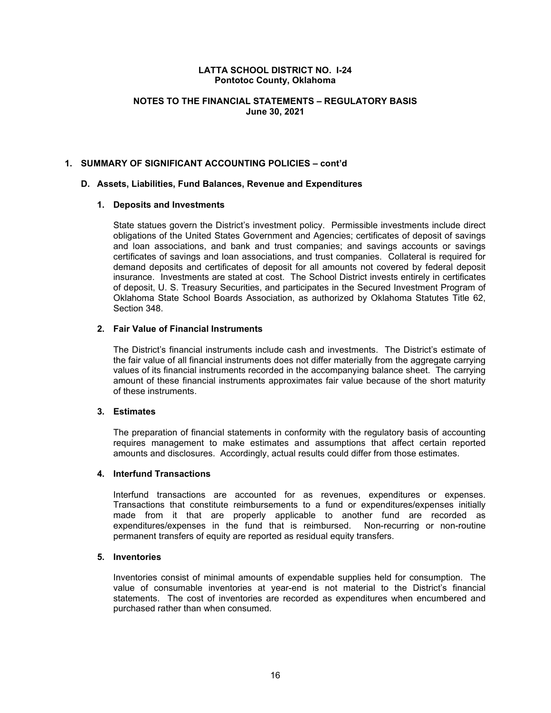# **NOTES TO THE FINANCIAL STATEMENTS – REGULATORY BASIS June 30, 2021**

#### **1. SUMMARY OF SIGNIFICANT ACCOUNTING POLICIES – cont'd**

#### **D. Assets, Liabilities, Fund Balances, Revenue and Expenditures**

#### **1. Deposits and Investments**

State statues govern the District's investment policy. Permissible investments include direct obligations of the United States Government and Agencies; certificates of deposit of savings and loan associations, and bank and trust companies; and savings accounts or savings certificates of savings and loan associations, and trust companies. Collateral is required for demand deposits and certificates of deposit for all amounts not covered by federal deposit insurance. Investments are stated at cost. The School District invests entirely in certificates of deposit, U. S. Treasury Securities, and participates in the Secured Investment Program of Oklahoma State School Boards Association, as authorized by Oklahoma Statutes Title 62, Section 348.

#### **2. Fair Value of Financial Instruments**

The District's financial instruments include cash and investments. The District's estimate of the fair value of all financial instruments does not differ materially from the aggregate carrying values of its financial instruments recorded in the accompanying balance sheet. The carrying amount of these financial instruments approximates fair value because of the short maturity of these instruments.

#### **3. Estimates**

The preparation of financial statements in conformity with the regulatory basis of accounting requires management to make estimates and assumptions that affect certain reported amounts and disclosures. Accordingly, actual results could differ from those estimates.

#### **4. Interfund Transactions**

Interfund transactions are accounted for as revenues, expenditures or expenses. Transactions that constitute reimbursements to a fund or expenditures/expenses initially made from it that are properly applicable to another fund are recorded as expenditures/expenses in the fund that is reimbursed. Non-recurring or non-routine permanent transfers of equity are reported as residual equity transfers.

#### **5. Inventories**

Inventories consist of minimal amounts of expendable supplies held for consumption. The value of consumable inventories at year-end is not material to the District's financial statements. The cost of inventories are recorded as expenditures when encumbered and purchased rather than when consumed.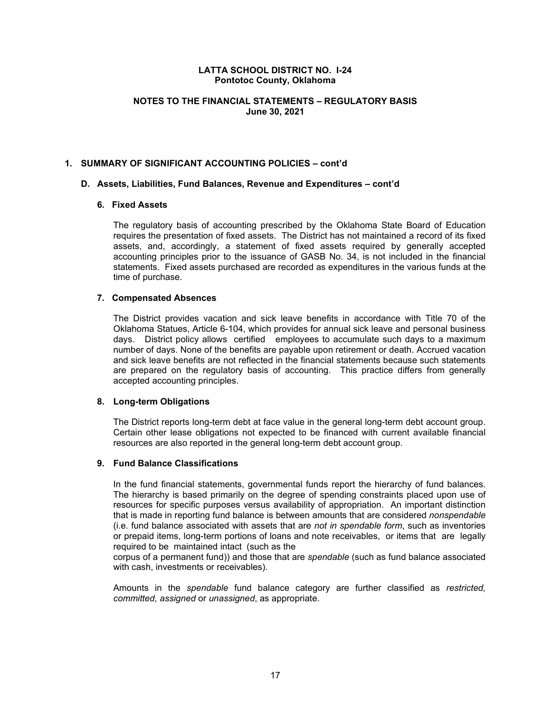# **NOTES TO THE FINANCIAL STATEMENTS – REGULATORY BASIS June 30, 2021**

# **1. SUMMARY OF SIGNIFICANT ACCOUNTING POLICIES – cont'd**

#### **D. Assets, Liabilities, Fund Balances, Revenue and Expenditures – cont'd**

#### **6. Fixed Assets**

The regulatory basis of accounting prescribed by the Oklahoma State Board of Education requires the presentation of fixed assets. The District has not maintained a record of its fixed assets, and, accordingly, a statement of fixed assets required by generally accepted accounting principles prior to the issuance of GASB No. 34, is not included in the financial statements. Fixed assets purchased are recorded as expenditures in the various funds at the time of purchase.

### **7. Compensated Absences**

The District provides vacation and sick leave benefits in accordance with Title 70 of the Oklahoma Statues, Article 6-104, which provides for annual sick leave and personal business days. District policy allows certified employees to accumulate such days to a maximum number of days. None of the benefits are payable upon retirement or death. Accrued vacation and sick leave benefits are not reflected in the financial statements because such statements are prepared on the regulatory basis of accounting. This practice differs from generally accepted accounting principles.

#### **8. Long-term Obligations**

The District reports long-term debt at face value in the general long-term debt account group. Certain other lease obligations not expected to be financed with current available financial resources are also reported in the general long-term debt account group.

#### **9. Fund Balance Classifications**

In the fund financial statements, governmental funds report the hierarchy of fund balances. The hierarchy is based primarily on the degree of spending constraints placed upon use of resources for specific purposes versus availability of appropriation. An important distinction that is made in reporting fund balance is between amounts that are considered *nonspendable* (i.e. fund balance associated with assets that are *not in spendable form*, such as inventories or prepaid items, long-term portions of loans and note receivables, or items that are legally required to be maintained intact (such as the

corpus of a permanent fund)) and those that are *spendable* (such as fund balance associated with cash, investments or receivables).

Amounts in the *spendable* fund balance category are further classified as *restricted, committed, assigned* or *unassigned*, as appropriate.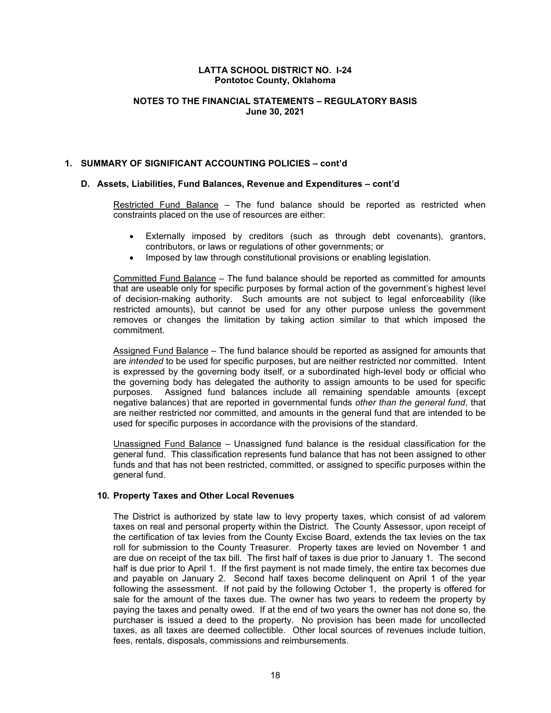# **NOTES TO THE FINANCIAL STATEMENTS – REGULATORY BASIS June 30, 2021**

#### **1. SUMMARY OF SIGNIFICANT ACCOUNTING POLICIES – cont'd**

#### **D. Assets, Liabilities, Fund Balances, Revenue and Expenditures – cont'd**

Restricted Fund Balance - The fund balance should be reported as restricted when constraints placed on the use of resources are either:

- Externally imposed by creditors (such as through debt covenants), grantors, contributors, or laws or regulations of other governments; or
- Imposed by law through constitutional provisions or enabling legislation.

Committed Fund Balance – The fund balance should be reported as committed for amounts that are useable only for specific purposes by formal action of the government's highest level of decision-making authority. Such amounts are not subject to legal enforceability (like restricted amounts), but cannot be used for any other purpose unless the government removes or changes the limitation by taking action similar to that which imposed the commitment.

Assigned Fund Balance - The fund balance should be reported as assigned for amounts that are *intended* to be used for specific purposes, but are neither restricted nor committed. Intent is expressed by the governing body itself, or a subordinated high-level body or official who the governing body has delegated the authority to assign amounts to be used for specific purposes. Assigned fund balances include all remaining spendable amounts (except negative balances) that are reported in governmental funds *other than the general fund*, that are neither restricted nor committed, and amounts in the general fund that are intended to be used for specific purposes in accordance with the provisions of the standard.

Unassigned Fund Balance – Unassigned fund balance is the residual classification for the general fund. This classification represents fund balance that has not been assigned to other funds and that has not been restricted, committed, or assigned to specific purposes within the general fund.

#### **10. Property Taxes and Other Local Revenues**

The District is authorized by state law to levy property taxes, which consist of ad valorem taxes on real and personal property within the District. The County Assessor, upon receipt of the certification of tax levies from the County Excise Board, extends the tax levies on the tax roll for submission to the County Treasurer. Property taxes are levied on November 1 and are due on receipt of the tax bill. The first half of taxes is due prior to January 1. The second half is due prior to April 1. If the first payment is not made timely, the entire tax becomes due and payable on January 2. Second half taxes become delinquent on April 1 of the year following the assessment. If not paid by the following October 1, the property is offered for sale for the amount of the taxes due. The owner has two years to redeem the property by paying the taxes and penalty owed. If at the end of two years the owner has not done so, the purchaser is issued a deed to the property. No provision has been made for uncollected taxes, as all taxes are deemed collectible. Other local sources of revenues include tuition, fees, rentals, disposals, commissions and reimbursements.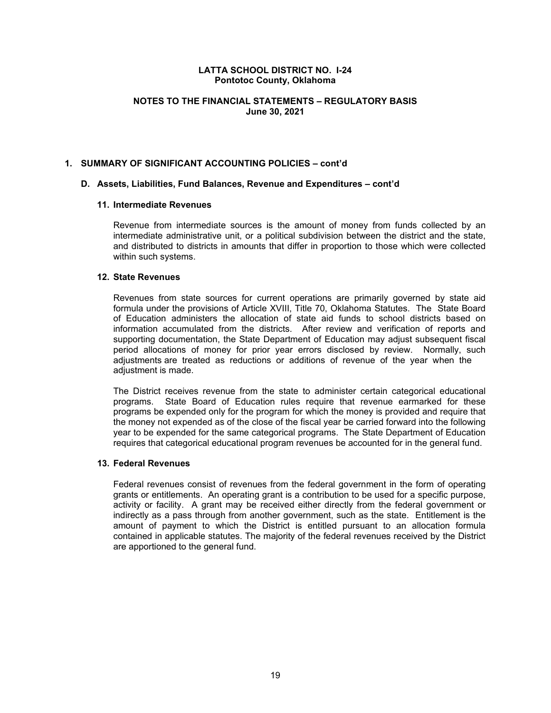# **NOTES TO THE FINANCIAL STATEMENTS – REGULATORY BASIS June 30, 2021**

#### **1. SUMMARY OF SIGNIFICANT ACCOUNTING POLICIES – cont'd**

# **D. Assets, Liabilities, Fund Balances, Revenue and Expenditures – cont'd**

#### **11. Intermediate Revenues**

Revenue from intermediate sources is the amount of money from funds collected by an intermediate administrative unit, or a political subdivision between the district and the state, and distributed to districts in amounts that differ in proportion to those which were collected within such systems.

#### **12. State Revenues**

Revenues from state sources for current operations are primarily governed by state aid formula under the provisions of Article XVIII, Title 70, Oklahoma Statutes. The State Board of Education administers the allocation of state aid funds to school districts based on information accumulated from the districts. After review and verification of reports and supporting documentation, the State Department of Education may adjust subsequent fiscal period allocations of money for prior year errors disclosed by review. Normally, such adjustments are treated as reductions or additions of revenue of the year when the adiustment is made.

The District receives revenue from the state to administer certain categorical educational programs. State Board of Education rules require that revenue earmarked for these programs be expended only for the program for which the money is provided and require that the money not expended as of the close of the fiscal year be carried forward into the following year to be expended for the same categorical programs. The State Department of Education requires that categorical educational program revenues be accounted for in the general fund.

#### **13. Federal Revenues**

Federal revenues consist of revenues from the federal government in the form of operating grants or entitlements. An operating grant is a contribution to be used for a specific purpose, activity or facility. A grant may be received either directly from the federal government or indirectly as a pass through from another government, such as the state. Entitlement is the amount of payment to which the District is entitled pursuant to an allocation formula contained in applicable statutes. The majority of the federal revenues received by the District are apportioned to the general fund.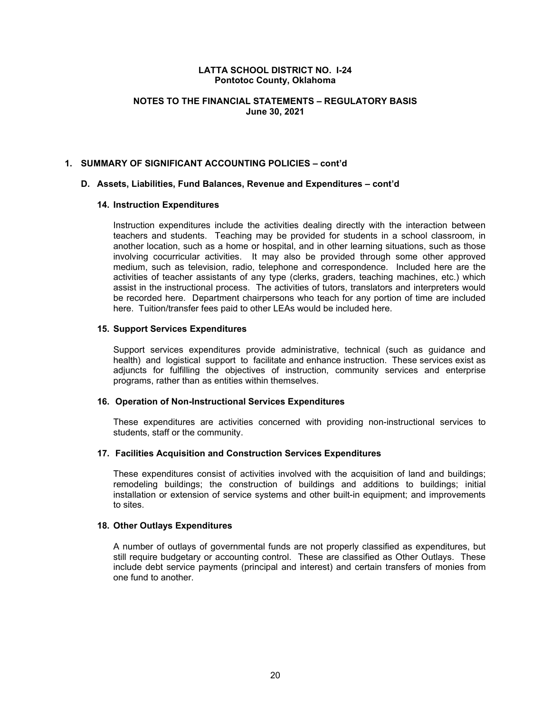# **NOTES TO THE FINANCIAL STATEMENTS – REGULATORY BASIS June 30, 2021**

#### **1. SUMMARY OF SIGNIFICANT ACCOUNTING POLICIES – cont'd**

#### **D. Assets, Liabilities, Fund Balances, Revenue and Expenditures – cont'd**

#### **14. Instruction Expenditures**

Instruction expenditures include the activities dealing directly with the interaction between teachers and students. Teaching may be provided for students in a school classroom, in another location, such as a home or hospital, and in other learning situations, such as those involving cocurricular activities. It may also be provided through some other approved medium, such as television, radio, telephone and correspondence. Included here are the activities of teacher assistants of any type (clerks, graders, teaching machines, etc.) which assist in the instructional process. The activities of tutors, translators and interpreters would be recorded here. Department chairpersons who teach for any portion of time are included here. Tuition/transfer fees paid to other LEAs would be included here.

#### **15. Support Services Expenditures**

Support services expenditures provide administrative, technical (such as guidance and health) and logistical support to facilitate and enhance instruction. These services exist as adjuncts for fulfilling the objectives of instruction, community services and enterprise programs, rather than as entities within themselves.

#### **16. Operation of Non-Instructional Services Expenditures**

These expenditures are activities concerned with providing non-instructional services to students, staff or the community.

#### **17. Facilities Acquisition and Construction Services Expenditures**

These expenditures consist of activities involved with the acquisition of land and buildings; remodeling buildings; the construction of buildings and additions to buildings; initial installation or extension of service systems and other built-in equipment; and improvements to sites.

#### **18. Other Outlays Expenditures**

A number of outlays of governmental funds are not properly classified as expenditures, but still require budgetary or accounting control. These are classified as Other Outlays. These include debt service payments (principal and interest) and certain transfers of monies from one fund to another.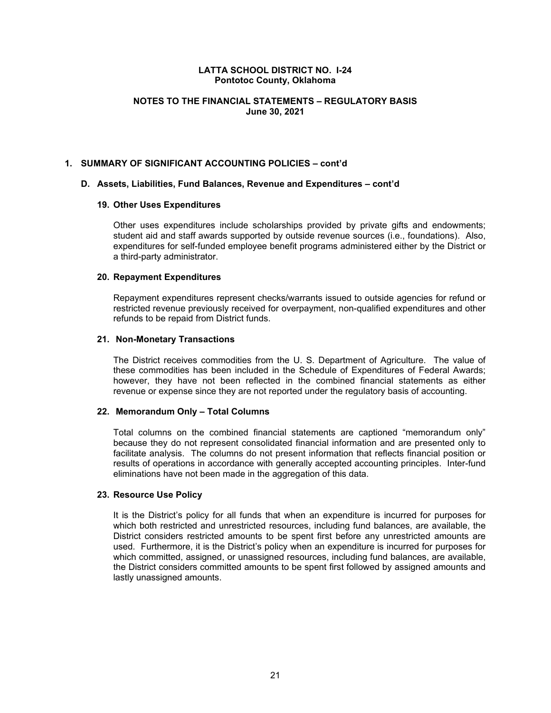# **NOTES TO THE FINANCIAL STATEMENTS – REGULATORY BASIS June 30, 2021**

#### **1. SUMMARY OF SIGNIFICANT ACCOUNTING POLICIES – cont'd**

# **D. Assets, Liabilities, Fund Balances, Revenue and Expenditures – cont'd**

#### **19. Other Uses Expenditures**

Other uses expenditures include scholarships provided by private gifts and endowments; student aid and staff awards supported by outside revenue sources (i.e., foundations). Also, expenditures for self-funded employee benefit programs administered either by the District or a third-party administrator.

#### **20. Repayment Expenditures**

Repayment expenditures represent checks/warrants issued to outside agencies for refund or restricted revenue previously received for overpayment, non-qualified expenditures and other refunds to be repaid from District funds.

#### **21. Non-Monetary Transactions**

The District receives commodities from the U. S. Department of Agriculture. The value of these commodities has been included in the Schedule of Expenditures of Federal Awards; however, they have not been reflected in the combined financial statements as either revenue or expense since they are not reported under the regulatory basis of accounting.

#### **22. Memorandum Only – Total Columns**

Total columns on the combined financial statements are captioned "memorandum only" because they do not represent consolidated financial information and are presented only to facilitate analysis. The columns do not present information that reflects financial position or results of operations in accordance with generally accepted accounting principles. Inter-fund eliminations have not been made in the aggregation of this data.

#### **23. Resource Use Policy**

It is the District's policy for all funds that when an expenditure is incurred for purposes for which both restricted and unrestricted resources, including fund balances, are available, the District considers restricted amounts to be spent first before any unrestricted amounts are used. Furthermore, it is the District's policy when an expenditure is incurred for purposes for which committed, assigned, or unassigned resources, including fund balances, are available, the District considers committed amounts to be spent first followed by assigned amounts and lastly unassigned amounts.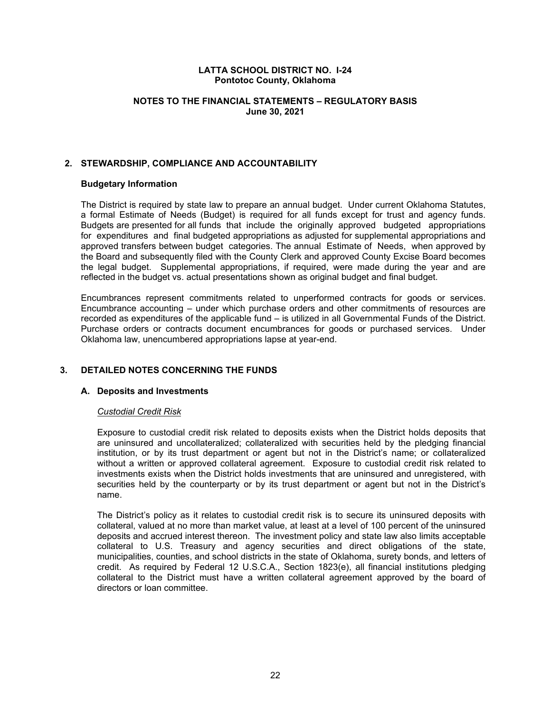# **NOTES TO THE FINANCIAL STATEMENTS – REGULATORY BASIS June 30, 2021**

# **2. STEWARDSHIP, COMPLIANCE AND ACCOUNTABILITY**

#### **Budgetary Information**

The District is required by state law to prepare an annual budget. Under current Oklahoma Statutes, a formal Estimate of Needs (Budget) is required for all funds except for trust and agency funds. Budgets are presented for all funds that include the originally approved budgeted appropriations for expenditures and final budgeted appropriations as adjusted for supplemental appropriations and approved transfers between budget categories. The annual Estimate of Needs, when approved by the Board and subsequently filed with the County Clerk and approved County Excise Board becomes the legal budget. Supplemental appropriations, if required, were made during the year and are reflected in the budget vs. actual presentations shown as original budget and final budget.

Encumbrances represent commitments related to unperformed contracts for goods or services. Encumbrance accounting – under which purchase orders and other commitments of resources are recorded as expenditures of the applicable fund – is utilized in all Governmental Funds of the District. Purchase orders or contracts document encumbrances for goods or purchased services. Under Oklahoma law, unencumbered appropriations lapse at year-end.

#### **3. DETAILED NOTES CONCERNING THE FUNDS**

#### **A. Deposits and Investments**

#### *Custodial Credit Risk*

Exposure to custodial credit risk related to deposits exists when the District holds deposits that are uninsured and uncollateralized; collateralized with securities held by the pledging financial institution, or by its trust department or agent but not in the District's name; or collateralized without a written or approved collateral agreement. Exposure to custodial credit risk related to investments exists when the District holds investments that are uninsured and unregistered, with securities held by the counterparty or by its trust department or agent but not in the District's name.

The District's policy as it relates to custodial credit risk is to secure its uninsured deposits with collateral, valued at no more than market value, at least at a level of 100 percent of the uninsured deposits and accrued interest thereon. The investment policy and state law also limits acceptable collateral to U.S. Treasury and agency securities and direct obligations of the state, municipalities, counties, and school districts in the state of Oklahoma, surety bonds, and letters of credit. As required by Federal 12 U.S.C.A., Section 1823(e), all financial institutions pledging collateral to the District must have a written collateral agreement approved by the board of directors or loan committee.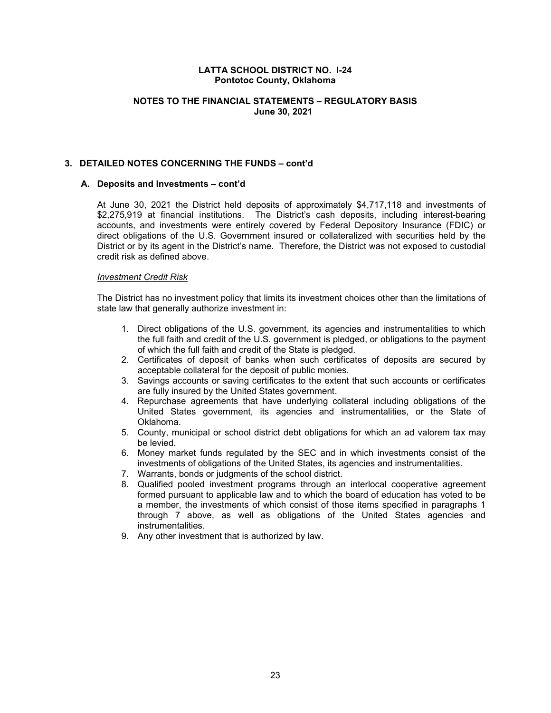# **NOTES TO THE FINANCIAL STATEMENTS – REGULATORY BASIS June 30, 2021**

#### **3. DETAILED NOTES CONCERNING THE FUNDS – cont'd**

#### **A. Deposits and Investments – cont'd**

At June 30, 2021 the District held deposits of approximately \$4,717,118 and investments of \$2,275,919 at financial institutions. The District's cash deposits, including interest-bearing accounts, and investments were entirely covered by Federal Depository Insurance (FDIC) or direct obligations of the U.S. Government insured or collateralized with securities held by the District or by its agent in the District's name. Therefore, the District was not exposed to custodial credit risk as defined above.

#### *Investment Credit Risk*

The District has no investment policy that limits its investment choices other than the limitations of state law that generally authorize investment in:

- 1. Direct obligations of the U.S. government, its agencies and instrumentalities to which the full faith and credit of the U.S. government is pledged, or obligations to the payment of which the full faith and credit of the State is pledged.
- 2. Certificates of deposit of banks when such certificates of deposits are secured by acceptable collateral for the deposit of public monies.
- 3. Savings accounts or saving certificates to the extent that such accounts or certificates are fully insured by the United States government.
- 4. Repurchase agreements that have underlying collateral including obligations of the United States government, its agencies and instrumentalities, or the State of Oklahoma.
- 5. County, municipal or school district debt obligations for which an ad valorem tax may be levied.
- 6. Money market funds regulated by the SEC and in which investments consist of the investments of obligations of the United States, its agencies and instrumentalities.
- 7. Warrants, bonds or judgments of the school district.
- 8. Qualified pooled investment programs through an interlocal cooperative agreement formed pursuant to applicable law and to which the board of education has voted to be a member, the investments of which consist of those items specified in paragraphs 1 through 7 above, as well as obligations of the United States agencies and instrumentalities.
- 9. Any other investment that is authorized by law.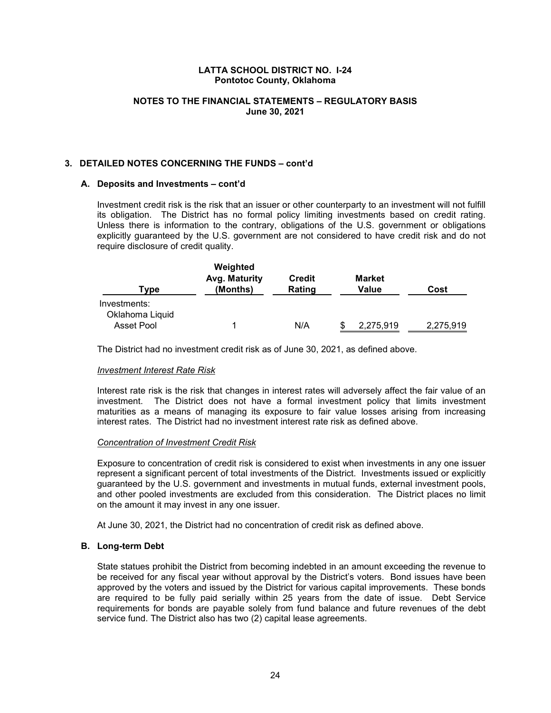# **NOTES TO THE FINANCIAL STATEMENTS – REGULATORY BASIS June 30, 2021**

#### **3. DETAILED NOTES CONCERNING THE FUNDS – cont'd**

# **A. Deposits and Investments – cont'd**

Investment credit risk is the risk that an issuer or other counterparty to an investment will not fulfill its obligation. The District has no formal policy limiting investments based on credit rating. Unless there is information to the contrary, obligations of the U.S. government or obligations explicitly guaranteed by the U.S. government are not considered to have credit risk and do not require disclosure of credit quality.

| Tvpe                            | Weighted<br>Avg. Maturity<br>(Months) | <b>Credit</b><br>Rating | <b>Market</b><br>Value | Cost      |
|---------------------------------|---------------------------------------|-------------------------|------------------------|-----------|
| Investments:<br>Oklahoma Liquid |                                       |                         |                        |           |
| Asset Pool                      |                                       | N/A                     | 2,275,919              | 2,275,919 |

The District had no investment credit risk as of June 30, 2021, as defined above.

#### *Investment Interest Rate Risk*

Interest rate risk is the risk that changes in interest rates will adversely affect the fair value of an investment. The District does not have a formal investment policy that limits investment maturities as a means of managing its exposure to fair value losses arising from increasing interest rates. The District had no investment interest rate risk as defined above.

#### *Concentration of Investment Credit Risk*

Exposure to concentration of credit risk is considered to exist when investments in any one issuer represent a significant percent of total investments of the District. Investments issued or explicitly guaranteed by the U.S. government and investments in mutual funds, external investment pools, and other pooled investments are excluded from this consideration. The District places no limit on the amount it may invest in any one issuer.

At June 30, 2021, the District had no concentration of credit risk as defined above.

#### **B. Long-term Debt**

State statues prohibit the District from becoming indebted in an amount exceeding the revenue to be received for any fiscal year without approval by the District's voters. Bond issues have been approved by the voters and issued by the District for various capital improvements. These bonds are required to be fully paid serially within 25 years from the date of issue. Debt Service requirements for bonds are payable solely from fund balance and future revenues of the debt service fund. The District also has two (2) capital lease agreements.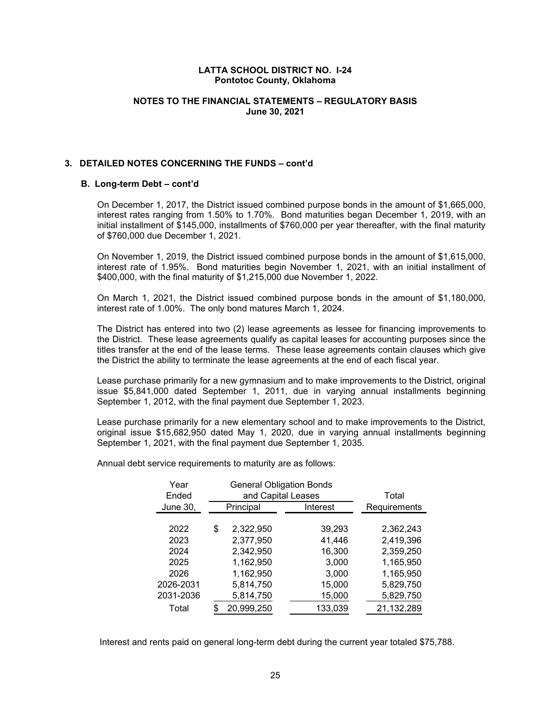# **NOTES TO THE FINANCIAL STATEMENTS – REGULATORY BASIS June 30, 2021**

#### **3. DETAILED NOTES CONCERNING THE FUNDS – cont'd**

#### **B. Long-term Debt – cont'd**

On December 1, 2017, the District issued combined purpose bonds in the amount of \$1,665,000, interest rates ranging from 1.50% to 1.70%. Bond maturities began December 1, 2019, with an initial installment of \$145,000, installments of \$760,000 per year thereafter, with the final maturity of \$760,000 due December 1, 2021.

On November 1, 2019, the District issued combined purpose bonds in the amount of \$1,615,000, interest rate of 1.95%. Bond maturities begin November 1, 2021, with an initial installment of \$400,000, with the final maturity of \$1,215,000 due November 1, 2022.

On March 1, 2021, the District issued combined purpose bonds in the amount of \$1,180,000, interest rate of 1.00%. The only bond matures March 1, 2024.

The District has entered into two (2) lease agreements as lessee for financing improvements to the District. These lease agreements qualify as capital leases for accounting purposes since the titles transfer at the end of the lease terms. These lease agreements contain clauses which give the District the ability to terminate the lease agreements at the end of each fiscal year.

Lease purchase primarily for a new gymnasium and to make improvements to the District, original issue \$5,841,000 dated September 1, 2011, due in varying annual installments beginning September 1, 2012, with the final payment due September 1, 2023.

Lease purchase primarily for a new elementary school and to make improvements to the District, original issue \$15,682,950 dated May 1, 2020, due in varying annual installments beginning September 1, 2021, with the final payment due September 1, 2035.

Annual debt service requirements to maturity are as follows:

| Year      | <b>General Obligation Bonds</b> |          |              |
|-----------|---------------------------------|----------|--------------|
| Ended     | and Capital Leases              |          | Total        |
| June 30,  | Principal                       | Interest | Requirements |
|           |                                 |          |              |
| 2022      | \$<br>2,322,950                 | 39,293   | 2,362,243    |
| 2023      | 2,377,950                       | 41,446   | 2,419,396    |
| 2024      | 2,342,950                       | 16,300   | 2,359,250    |
| 2025      | 1,162,950                       | 3,000    | 1,165,950    |
| 2026      | 1,162,950                       | 3,000    | 1,165,950    |
| 2026-2031 | 5,814,750                       | 15,000   | 5,829,750    |
| 2031-2036 | 5,814,750                       | 15,000   | 5,829,750    |
| Total     | \$<br>20,999,250                | 133,039  | 21,132,289   |

Interest and rents paid on general long-term debt during the current year totaled \$75,788.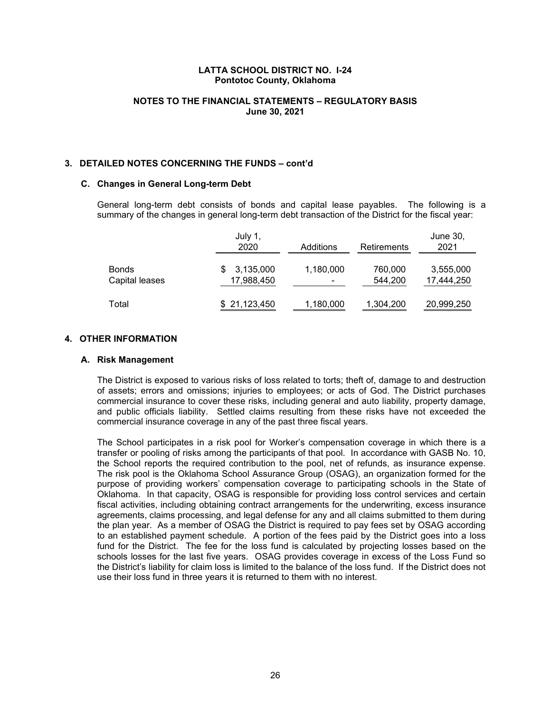# **NOTES TO THE FINANCIAL STATEMENTS – REGULATORY BASIS June 30, 2021**

#### **3. DETAILED NOTES CONCERNING THE FUNDS – cont'd**

#### **C. Changes in General Long-term Debt**

General long-term debt consists of bonds and capital lease payables. The following is a summary of the changes in general long-term debt transaction of the District for the fiscal year:

|                                | July 1,<br>2020         | Additions      | Retirements        | June 30,<br>2021        |
|--------------------------------|-------------------------|----------------|--------------------|-------------------------|
| <b>Bonds</b><br>Capital leases | 3,135,000<br>17,988,450 | 1,180,000<br>٠ | 760,000<br>544,200 | 3,555,000<br>17,444,250 |
| Total                          | \$21,123,450            | 1,180,000      | 1,304,200          | 20,999,250              |

# **4. OTHER INFORMATION**

#### **A. Risk Management**

The District is exposed to various risks of loss related to torts; theft of, damage to and destruction of assets; errors and omissions; injuries to employees; or acts of God. The District purchases commercial insurance to cover these risks, including general and auto liability, property damage, and public officials liability. Settled claims resulting from these risks have not exceeded the commercial insurance coverage in any of the past three fiscal years.

The School participates in a risk pool for Worker's compensation coverage in which there is a transfer or pooling of risks among the participants of that pool. In accordance with GASB No. 10, the School reports the required contribution to the pool, net of refunds, as insurance expense. The risk pool is the Oklahoma School Assurance Group (OSAG), an organization formed for the purpose of providing workers' compensation coverage to participating schools in the State of Oklahoma. In that capacity, OSAG is responsible for providing loss control services and certain fiscal activities, including obtaining contract arrangements for the underwriting, excess insurance agreements, claims processing, and legal defense for any and all claims submitted to them during the plan year. As a member of OSAG the District is required to pay fees set by OSAG according to an established payment schedule. A portion of the fees paid by the District goes into a loss fund for the District. The fee for the loss fund is calculated by projecting losses based on the schools losses for the last five years. OSAG provides coverage in excess of the Loss Fund so the District's liability for claim loss is limited to the balance of the loss fund. If the District does not use their loss fund in three years it is returned to them with no interest.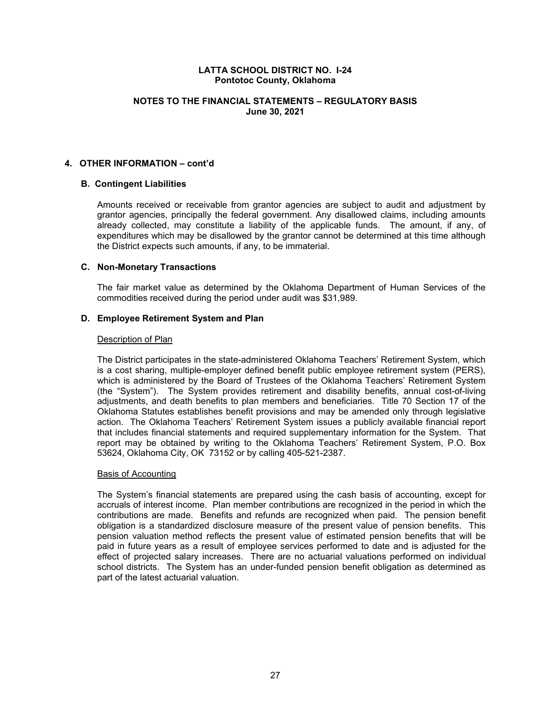#### **NOTES TO THE FINANCIAL STATEMENTS – REGULATORY BASIS June 30, 2021**

#### **4. OTHER INFORMATION – cont'd**

# **B. Contingent Liabilities**

Amounts received or receivable from grantor agencies are subject to audit and adjustment by grantor agencies, principally the federal government. Any disallowed claims, including amounts already collected, may constitute a liability of the applicable funds. The amount, if any, of expenditures which may be disallowed by the grantor cannot be determined at this time although the District expects such amounts, if any, to be immaterial.

#### **C. Non-Monetary Transactions**

The fair market value as determined by the Oklahoma Department of Human Services of the commodities received during the period under audit was \$31,989.

#### **D. Employee Retirement System and Plan**

#### Description of Plan

The District participates in the state-administered Oklahoma Teachers' Retirement System, which is a cost sharing, multiple-employer defined benefit public employee retirement system (PERS), which is administered by the Board of Trustees of the Oklahoma Teachers' Retirement System (the "System"). The System provides retirement and disability benefits, annual cost-of-living adjustments, and death benefits to plan members and beneficiaries. Title 70 Section 17 of the Oklahoma Statutes establishes benefit provisions and may be amended only through legislative action. The Oklahoma Teachers' Retirement System issues a publicly available financial report that includes financial statements and required supplementary information for the System. That report may be obtained by writing to the Oklahoma Teachers' Retirement System, P.O. Box 53624, Oklahoma City, OK 73152 or by calling 405-521-2387.

#### Basis of Accounting

The System's financial statements are prepared using the cash basis of accounting, except for accruals of interest income. Plan member contributions are recognized in the period in which the contributions are made. Benefits and refunds are recognized when paid. The pension benefit obligation is a standardized disclosure measure of the present value of pension benefits. This pension valuation method reflects the present value of estimated pension benefits that will be paid in future years as a result of employee services performed to date and is adjusted for the effect of projected salary increases. There are no actuarial valuations performed on individual school districts. The System has an under-funded pension benefit obligation as determined as part of the latest actuarial valuation.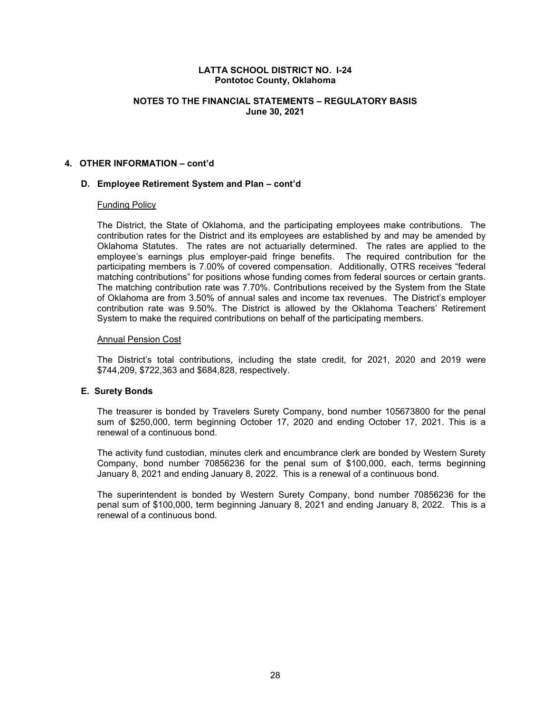# **NOTES TO THE FINANCIAL STATEMENTS – REGULATORY BASIS June 30, 2021**

#### **4. OTHER INFORMATION – cont'd**

#### **D. Employee Retirement System and Plan – cont'd**

#### Funding Policy

The District, the State of Oklahoma, and the participating employees make contributions. The contribution rates for the District and its employees are established by and may be amended by Oklahoma Statutes. The rates are not actuarially determined. The rates are applied to the employee's earnings plus employer-paid fringe benefits. The required contribution for the participating members is 7.00% of covered compensation. Additionally, OTRS receives "federal matching contributions" for positions whose funding comes from federal sources or certain grants. The matching contribution rate was 7.70%. Contributions received by the System from the State of Oklahoma are from 3.50% of annual sales and income tax revenues. The District's employer contribution rate was 9.50%. The District is allowed by the Oklahoma Teachers' Retirement System to make the required contributions on behalf of the participating members.

#### Annual Pension Cost

The District's total contributions, including the state credit, for 2021, 2020 and 2019 were \$744,209, \$722,363 and \$684,828, respectively.

# **E. Surety Bonds**

The treasurer is bonded by Travelers Surety Company, bond number 105673800 for the penal sum of \$250,000, term beginning October 17, 2020 and ending October 17, 2021. This is a renewal of a continuous bond.

The activity fund custodian, minutes clerk and encumbrance clerk are bonded by Western Surety Company, bond number 70856236 for the penal sum of \$100,000, each, terms beginning January 8, 2021 and ending January 8, 2022. This is a renewal of a continuous bond.

The superintendent is bonded by Western Surety Company, bond number 70856236 for the penal sum of \$100,000, term beginning January 8, 2021 and ending January 8, 2022. This is a renewal of a continuous bond.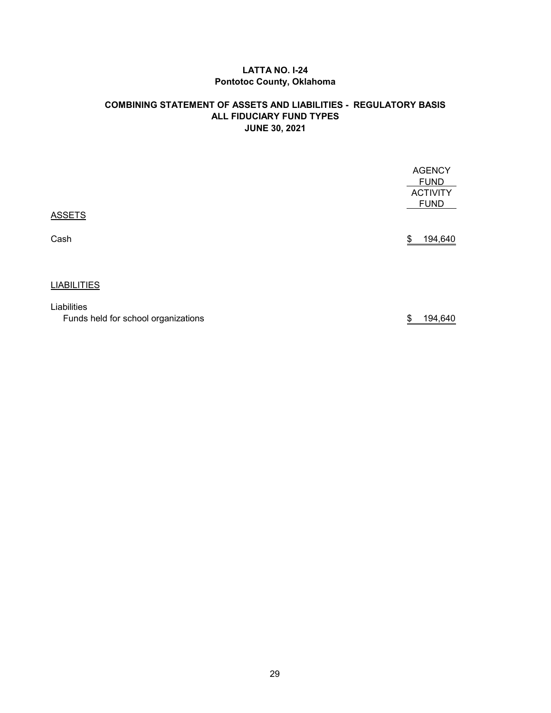# **LATTA NO. I-24 Pontotoc County, Oklahoma**

# **COMBINING STATEMENT OF ASSETS AND LIABILITIES - REGULATORY BASIS ALL FIDUCIARY FUND TYPES JUNE 30, 2021**

|                    | <b>AGENCY</b><br><b>FUND</b><br><b>ACTIVITY</b><br><b>FUND</b> |
|--------------------|----------------------------------------------------------------|
| <b>ASSETS</b>      |                                                                |
| Cash               | 194,640<br>\$                                                  |
| <b>LIABILITIES</b> |                                                                |

Liabilities Funds held for school organizations **\$ 194,640**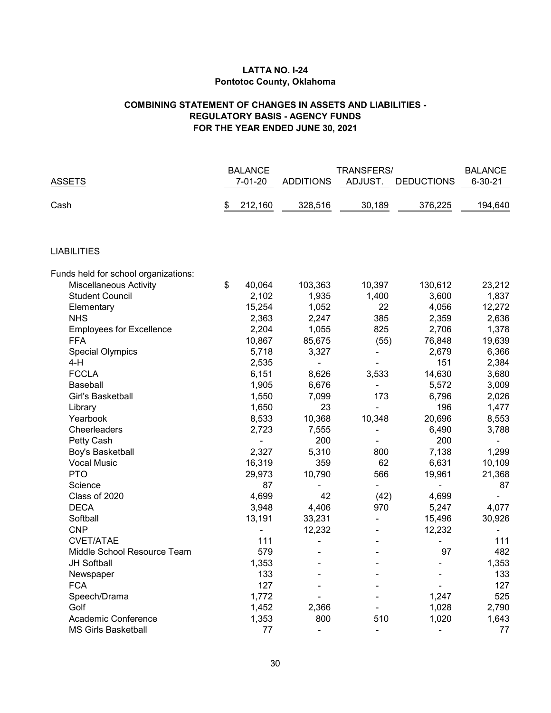# **LATTA NO. I-24 Pontotoc County, Oklahoma**

# **COMBINING STATEMENT OF CHANGES IN ASSETS AND LIABILITIES - REGULATORY BASIS - AGENCY FUNDS FOR THE YEAR ENDED JUNE 30, 2021**

|                                      | <b>BALANCE</b> |                |                  | <b>BALANCE</b> |                   |                |
|--------------------------------------|----------------|----------------|------------------|----------------|-------------------|----------------|
| <b>ASSETS</b>                        |                | 7-01-20        | <b>ADDITIONS</b> | ADJUST.        | <b>DEDUCTIONS</b> | 6-30-21        |
| Cash                                 | \$             | 212,160        | 328,516          | 30,189         | 376,225           | 194,640        |
| <b>LIABILITIES</b>                   |                |                |                  |                |                   |                |
| Funds held for school organizations: |                |                |                  |                |                   |                |
| <b>Miscellaneous Activity</b>        | \$             | 40,064         | 103,363          | 10,397         | 130,612           | 23,212         |
| <b>Student Council</b>               |                | 2,102          | 1,935            | 1,400          | 3,600             | 1,837          |
| Elementary                           |                | 15,254         | 1,052            | 22             | 4,056             | 12,272         |
| <b>NHS</b>                           |                | 2,363          | 2,247            | 385            | 2,359             | 2,636          |
| <b>Employees for Excellence</b>      |                | 2,204          | 1,055            | 825            | 2,706             | 1,378          |
| <b>FFA</b>                           |                | 10,867         | 85,675           | (55)           | 76,848            | 19,639         |
| <b>Special Olympics</b>              |                | 5,718          | 3,327            |                | 2,679             | 6,366          |
| $4-H$                                |                | 2,535          |                  |                | 151               | 2,384          |
| <b>FCCLA</b>                         |                | 6,151          | 8,626            | 3,533          | 14,630            | 3,680          |
| Baseball                             |                | 1,905          | 6,676            |                | 5,572             | 3,009          |
| Girl's Basketball                    |                | 1,550          | 7,099            | 173            | 6,796             | 2,026          |
| Library                              |                | 1,650          | 23               | $\overline{a}$ | 196               | 1,477          |
| Yearbook                             |                | 8,533          | 10,368           | 10,348         | 20,696            | 8,553          |
| Cheerleaders                         |                | 2,723          | 7,555            | ۰              | 6,490             | 3,788          |
| Petty Cash                           |                | $\blacksquare$ | 200              | $\blacksquare$ | 200               | $\blacksquare$ |
| Boy's Basketball                     |                | 2,327          | 5,310            | 800            | 7,138             | 1,299          |
| <b>Vocal Music</b>                   |                | 16,319         | 359              | 62             | 6,631             | 10,109         |
| <b>PTO</b>                           |                | 29,973         | 10,790           | 566            | 19,961            | 21,368         |
| Science                              |                | 87             |                  |                |                   | 87             |
| Class of 2020                        |                | 4,699          | 42               | (42)           | 4,699             |                |
| <b>DECA</b>                          |                | 3,948          | 4,406            | 970            | 5,247             | 4,077          |
| Softball                             |                | 13,191         | 33,231           | $\frac{1}{2}$  | 15,496            | 30,926         |
| <b>CNP</b>                           |                |                | 12,232           |                | 12,232            |                |
| <b>CVET/ATAE</b>                     |                | 111            |                  |                |                   | 111            |
| Middle School Resource Team          |                | 579            |                  |                | 97                | 482            |
| <b>JH Softball</b>                   |                | 1,353          |                  | $\blacksquare$ |                   | 1,353          |
| Newspaper                            |                | 133            |                  |                |                   | 133            |
| <b>FCA</b>                           |                | 127            |                  |                |                   | 127            |
| Speech/Drama                         |                | 1,772          |                  |                | 1,247             | 525            |
| Golf                                 |                | 1,452          | 2,366            |                | 1,028             | 2,790          |
| Academic Conference                  |                | 1,353          | 800              | 510            | 1,020             | 1,643          |
| <b>MS Girls Basketball</b>           |                | 77             | $\overline{a}$   | $\blacksquare$ | $\blacksquare$    | 77             |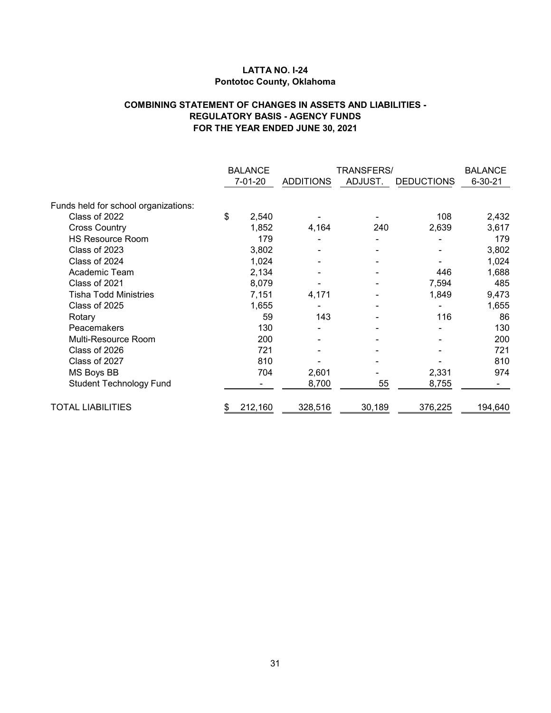# **LATTA NO. I-24 Pontotoc County, Oklahoma**

# **COMBINING STATEMENT OF CHANGES IN ASSETS AND LIABILITIES - REGULATORY BASIS - AGENCY FUNDS FOR THE YEAR ENDED JUNE 30, 2021**

| <b>BALANCE</b> |         |                                                               | <b>BALANCE</b>   |                   |                                   |
|----------------|---------|---------------------------------------------------------------|------------------|-------------------|-----------------------------------|
|                |         | <b>ADDITIONS</b>                                              | ADJUST.          | <b>DEDUCTIONS</b> | $6 - 30 - 21$                     |
|                |         |                                                               |                  |                   |                                   |
|                |         |                                                               |                  |                   | 2,432                             |
|                |         |                                                               |                  |                   | 3,617                             |
|                |         |                                                               |                  |                   |                                   |
|                |         |                                                               |                  |                   | 179                               |
|                |         |                                                               |                  |                   | 3,802                             |
|                |         |                                                               |                  |                   | 1,024                             |
|                |         |                                                               |                  |                   | 1,688                             |
|                | 8,079   |                                                               |                  | 7,594             | 485                               |
|                | 7,151   | 4,171                                                         |                  | 1,849             | 9,473                             |
|                | 1,655   |                                                               |                  |                   | 1,655                             |
|                | 59      | 143                                                           |                  | 116               | 86                                |
|                | 130     |                                                               |                  |                   | 130                               |
|                | 200     |                                                               |                  |                   | 200                               |
|                | 721     |                                                               |                  |                   | 721                               |
|                | 810     |                                                               |                  |                   | 810                               |
|                | 704     | 2,601                                                         |                  | 2,331             | 974                               |
|                |         | 8,700                                                         | 55               | 8,755             |                                   |
| \$             | 212,160 |                                                               | 30,189           | 376,225           | 194,640                           |
|                | \$      | $7-01-20$<br>2,540<br>1,852<br>179<br>3,802<br>1,024<br>2,134 | 4,164<br>328,516 | 240               | TRANSFERS/<br>108<br>2,639<br>446 |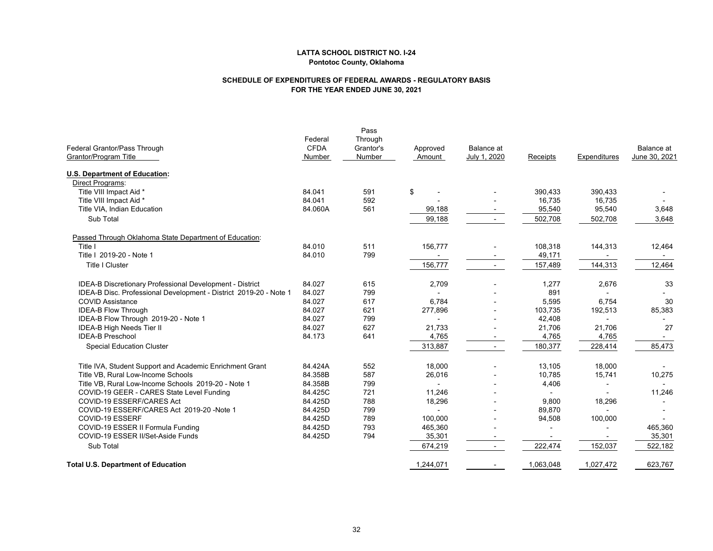#### **SCHEDULE OF EXPENDITURES OF FEDERAL AWARDS - REGULATORY BASIS FOR THE YEAR ENDED JUNE 30, 2021**

|         | Pass                                                                                                                                                                       |                                                                                                                           |                                                                                                                                            |                            |                                                                                                                                               |                                                                                                       |
|---------|----------------------------------------------------------------------------------------------------------------------------------------------------------------------------|---------------------------------------------------------------------------------------------------------------------------|--------------------------------------------------------------------------------------------------------------------------------------------|----------------------------|-----------------------------------------------------------------------------------------------------------------------------------------------|-------------------------------------------------------------------------------------------------------|
|         |                                                                                                                                                                            |                                                                                                                           |                                                                                                                                            |                            |                                                                                                                                               |                                                                                                       |
|         |                                                                                                                                                                            |                                                                                                                           |                                                                                                                                            |                            |                                                                                                                                               | Balance at                                                                                            |
|         |                                                                                                                                                                            |                                                                                                                           |                                                                                                                                            |                            |                                                                                                                                               | June 30, 2021                                                                                         |
|         |                                                                                                                                                                            |                                                                                                                           |                                                                                                                                            |                            |                                                                                                                                               |                                                                                                       |
|         |                                                                                                                                                                            |                                                                                                                           |                                                                                                                                            |                            |                                                                                                                                               |                                                                                                       |
| 84.041  | 591                                                                                                                                                                        | \$                                                                                                                        |                                                                                                                                            | 390,433                    | 390,433                                                                                                                                       |                                                                                                       |
| 84.041  | 592                                                                                                                                                                        |                                                                                                                           |                                                                                                                                            | 16,735                     | 16,735                                                                                                                                        |                                                                                                       |
|         |                                                                                                                                                                            | 99,188                                                                                                                    |                                                                                                                                            | 95,540                     | 95,540                                                                                                                                        | 3,648                                                                                                 |
|         |                                                                                                                                                                            | 99,188                                                                                                                    | $\overline{a}$                                                                                                                             | 502,708                    | 502,708                                                                                                                                       | 3,648                                                                                                 |
|         |                                                                                                                                                                            |                                                                                                                           |                                                                                                                                            |                            |                                                                                                                                               |                                                                                                       |
| 84.010  | 511                                                                                                                                                                        | 156,777                                                                                                                   |                                                                                                                                            | 108,318                    | 144,313                                                                                                                                       | 12,464                                                                                                |
| 84.010  | 799                                                                                                                                                                        |                                                                                                                           |                                                                                                                                            |                            | $\blacksquare$                                                                                                                                | $\sim$                                                                                                |
|         |                                                                                                                                                                            | 156,777                                                                                                                   | $\blacksquare$                                                                                                                             | 157,489                    | 144,313                                                                                                                                       | 12,464                                                                                                |
|         |                                                                                                                                                                            |                                                                                                                           |                                                                                                                                            |                            |                                                                                                                                               | 33                                                                                                    |
|         |                                                                                                                                                                            |                                                                                                                           |                                                                                                                                            |                            |                                                                                                                                               |                                                                                                       |
|         |                                                                                                                                                                            |                                                                                                                           |                                                                                                                                            |                            |                                                                                                                                               | 30                                                                                                    |
|         |                                                                                                                                                                            |                                                                                                                           |                                                                                                                                            |                            |                                                                                                                                               | 85,383                                                                                                |
|         |                                                                                                                                                                            |                                                                                                                           |                                                                                                                                            |                            |                                                                                                                                               |                                                                                                       |
| 84.027  | 627                                                                                                                                                                        |                                                                                                                           |                                                                                                                                            |                            |                                                                                                                                               | 27                                                                                                    |
| 84.173  | 641                                                                                                                                                                        |                                                                                                                           |                                                                                                                                            |                            |                                                                                                                                               |                                                                                                       |
|         |                                                                                                                                                                            | 313,887                                                                                                                   | $\blacksquare$                                                                                                                             | 180,377                    | 228,414                                                                                                                                       | 85,473                                                                                                |
|         |                                                                                                                                                                            |                                                                                                                           |                                                                                                                                            |                            |                                                                                                                                               |                                                                                                       |
|         |                                                                                                                                                                            |                                                                                                                           |                                                                                                                                            |                            |                                                                                                                                               | 10,275                                                                                                |
|         |                                                                                                                                                                            |                                                                                                                           |                                                                                                                                            |                            | $\overline{\phantom{a}}$                                                                                                                      |                                                                                                       |
|         |                                                                                                                                                                            |                                                                                                                           |                                                                                                                                            |                            |                                                                                                                                               | 11,246                                                                                                |
|         |                                                                                                                                                                            |                                                                                                                           |                                                                                                                                            |                            |                                                                                                                                               |                                                                                                       |
|         |                                                                                                                                                                            |                                                                                                                           |                                                                                                                                            |                            |                                                                                                                                               |                                                                                                       |
|         |                                                                                                                                                                            |                                                                                                                           |                                                                                                                                            |                            |                                                                                                                                               |                                                                                                       |
| 84.425D | 793                                                                                                                                                                        |                                                                                                                           |                                                                                                                                            | $\blacksquare$             |                                                                                                                                               | 465,360                                                                                               |
| 84.425D | 794                                                                                                                                                                        |                                                                                                                           |                                                                                                                                            | $\overline{\phantom{a}}$   |                                                                                                                                               | 35,301                                                                                                |
|         |                                                                                                                                                                            | 674,219                                                                                                                   | $\overline{\phantom{a}}$                                                                                                                   | 222,474                    | 152,037                                                                                                                                       | 522,182                                                                                               |
|         |                                                                                                                                                                            | 1,244,071                                                                                                                 |                                                                                                                                            | 1,063,048                  | 1,027,472                                                                                                                                     | 623,767                                                                                               |
|         | Federal<br><b>CFDA</b><br>Number<br>84.060A<br>84.027<br>84.027<br>84.027<br>84.027<br>84.027<br>84.424A<br>84.358B<br>84.358B<br>84.425C<br>84.425D<br>84.425D<br>84.425D | Through<br>Grantor's<br>Number<br>561<br>615<br>799<br>617<br>621<br>799<br>552<br>587<br>799<br>721<br>788<br>799<br>789 | Approved<br>Amount<br>2,709<br>6,784<br>277,896<br>21,733<br>4,765<br>18,000<br>26,016<br>11,246<br>18,296<br>100,000<br>465,360<br>35,301 | Balance at<br>July 1, 2020 | Receipts<br>49,171<br>1,277<br>891<br>5,595<br>103,735<br>42,408<br>21,706<br>4,765<br>13,105<br>10,785<br>4,406<br>9,800<br>89,870<br>94,508 | Expenditures<br>2,676<br>6,754<br>192,513<br>21,706<br>4,765<br>18,000<br>15,741<br>18,296<br>100,000 |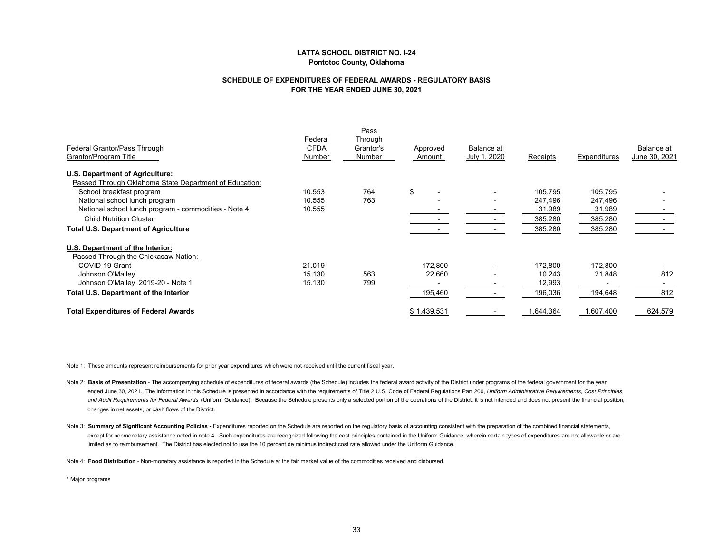#### **SCHEDULE OF EXPENDITURES OF FEDERAL AWARDS - REGULATORY BASIS FOR THE YEAR ENDED JUNE 30, 2021**

| Pass<br>Federal<br>Through<br><b>CFDA</b><br>Federal Grantor/Pass Through<br>Grantor's<br>Balance at<br>Approved<br>Grantor/Program Title<br>July 1, 2020<br>Number<br>Number<br>Amount<br>Receipts | Balance at<br>June 30, 2021<br>Expenditures |
|-----------------------------------------------------------------------------------------------------------------------------------------------------------------------------------------------------|---------------------------------------------|
| U.S. Department of Agriculture:                                                                                                                                                                     |                                             |
| Passed Through Oklahoma State Department of Education:                                                                                                                                              |                                             |
| \$<br>764<br>School breakfast program<br>10.553                                                                                                                                                     | 105,795<br>105,795                          |
| 763<br>National school lunch program<br>10.555<br>$\overline{\phantom{0}}$                                                                                                                          | 247,496<br>247,496                          |
| National school lunch program - commodities - Note 4<br>10.555                                                                                                                                      | 31,989<br>31,989                            |
| <b>Child Nutrition Cluster</b>                                                                                                                                                                      | 385,280<br>385,280                          |
| <b>Total U.S. Department of Agriculture</b>                                                                                                                                                         | 385,280<br>385,280                          |
| U.S. Department of the Interior:<br>Passed Through the Chickasaw Nation:                                                                                                                            |                                             |
|                                                                                                                                                                                                     |                                             |
| 21.019<br>172,800<br>COVID-19 Grant                                                                                                                                                                 | 172,800<br>172,800                          |
| 563<br>15.130<br>22,660<br>Johnson O'Malley                                                                                                                                                         | 812<br>10,243<br>21,848                     |
| Johnson O'Malley 2019-20 - Note 1<br>15.130<br>799                                                                                                                                                  | 12,993                                      |
| 195,460<br>Total U.S. Department of the Interior                                                                                                                                                    | 812<br>196,036<br>194,648                   |
| \$1,439,531<br><b>Total Expenditures of Federal Awards</b>                                                                                                                                          | ,644,364<br>1,607,400<br>624,579            |

Note 1: These amounts represent reimbursements for prior year expenditures which were not received until the current fiscal year.

Note 2: Basis of Presentation - The accompanying schedule of expenditures of federal awards (the Schedule) includes the federal award activity of the District under programs of the federal government for the year ended June 30, 2021. The information in this Schedule is presented in accordance with the requirements of Title 2 U.S. Code of Federal Regulations Part 200, Uniform Administrative Requirements, Cost Principles, and Audit Requirements for Federal Awards (Uniform Guidance). Because the Schedule presents only a selected portion of the operations of the District, it is not intended and does not present the financial position, changes in net assets, or cash flows of the District.

Note 3: **Summary of Significant Accounting Policies** - Expenditures reported on the Schedule are reported on the regulatory basis of accounting consistent with the preparation of the combined financial statements, except for nonmonetary assistance noted in note 4. Such expenditures are recognized following the cost principles contained in the Uniform Guidance, wherein certain types of expenditures are not allowable or are limited as to reimbursement. The District has elected not to use the 10 percent de minimus indirect cost rate allowed under the Uniform Guidance.

Note 4: **Food Distribution** - Non-monetary assistance is reported in the Schedule at the fair market value of the commodities received and disbursed.

\* Major programs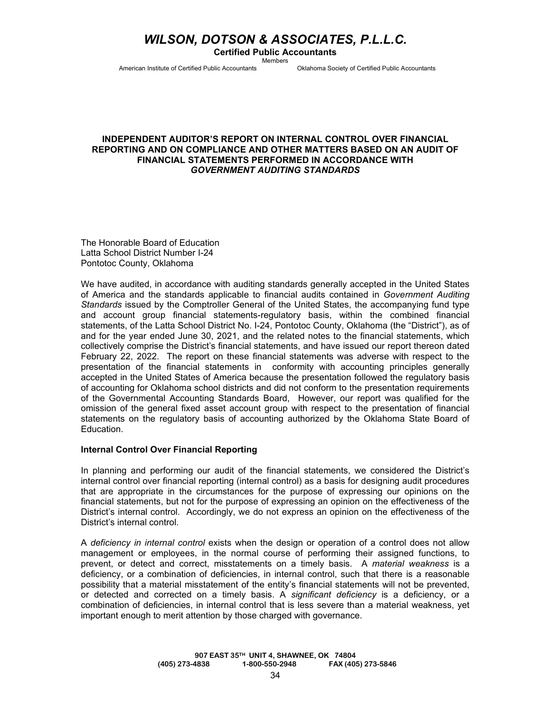# *WILSON, DOTSON & ASSOCIATES, P.L.L.C.*

**Certified Public Accountants**

Members

American Institute of Certified Public Accountants Oklahoma Society of Certified Public Accountants

#### **INDEPENDENT AUDITOR'S REPORT ON INTERNAL CONTROL OVER FINANCIAL REPORTING AND ON COMPLIANCE AND OTHER MATTERS BASED ON AN AUDIT OF FINANCIAL STATEMENTS PERFORMED IN ACCORDANCE WITH** *GOVERNMENT AUDITING STANDARDS*

The Honorable Board of Education Latta School District Number I-24 Pontotoc County, Oklahoma

We have audited, in accordance with auditing standards generally accepted in the United States of America and the standards applicable to financial audits contained in *Government Auditing Standards* issued by the Comptroller General of the United States, the accompanying fund type and account group financial statements-regulatory basis, within the combined financial statements, of the Latta School District No. I-24, Pontotoc County, Oklahoma (the "District"), as of and for the year ended June 30, 2021, and the related notes to the financial statements, which collectively comprise the District's financial statements, and have issued our report thereon dated February 22, 2022. The report on these financial statements was adverse with respect to the presentation of the financial statements in conformity with accounting principles generally accepted in the United States of America because the presentation followed the regulatory basis of accounting for Oklahoma school districts and did not conform to the presentation requirements of the Governmental Accounting Standards Board, However, our report was qualified for the omission of the general fixed asset account group with respect to the presentation of financial statements on the regulatory basis of accounting authorized by the Oklahoma State Board of Education.

#### **Internal Control Over Financial Reporting**

In planning and performing our audit of the financial statements, we considered the District's internal control over financial reporting (internal control) as a basis for designing audit procedures that are appropriate in the circumstances for the purpose of expressing our opinions on the financial statements, but not for the purpose of expressing an opinion on the effectiveness of the District's internal control. Accordingly, we do not express an opinion on the effectiveness of the District's internal control.

A *deficiency in internal control* exists when the design or operation of a control does not allow management or employees, in the normal course of performing their assigned functions, to prevent, or detect and correct, misstatements on a timely basis. A *material weakness* is a deficiency, or a combination of deficiencies, in internal control, such that there is a reasonable possibility that a material misstatement of the entity's financial statements will not be prevented, or detected and corrected on a timely basis. A *significant deficiency* is a deficiency, or a combination of deficiencies, in internal control that is less severe than a material weakness, yet important enough to merit attention by those charged with governance.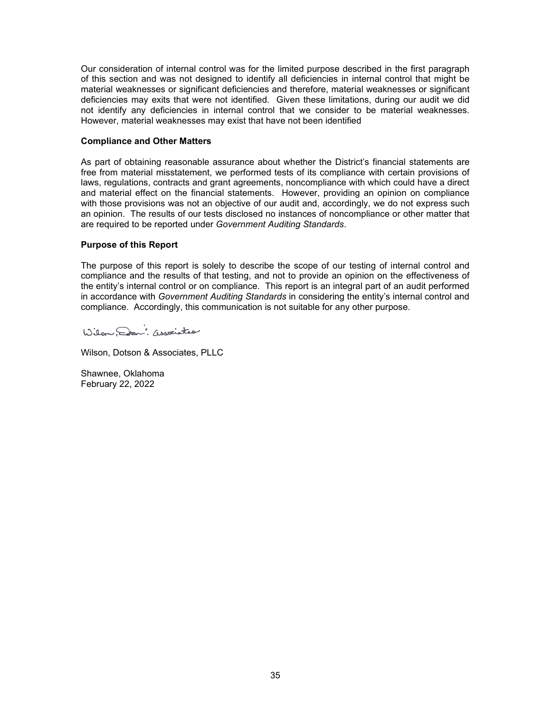Our consideration of internal control was for the limited purpose described in the first paragraph of this section and was not designed to identify all deficiencies in internal control that might be material weaknesses or significant deficiencies and therefore, material weaknesses or significant deficiencies may exits that were not identified. Given these limitations, during our audit we did not identify any deficiencies in internal control that we consider to be material weaknesses. However, material weaknesses may exist that have not been identified

#### **Compliance and Other Matters**

As part of obtaining reasonable assurance about whether the District's financial statements are free from material misstatement, we performed tests of its compliance with certain provisions of laws, regulations, contracts and grant agreements, noncompliance with which could have a direct and material effect on the financial statements. However, providing an opinion on compliance with those provisions was not an objective of our audit and, accordingly, we do not express such an opinion. The results of our tests disclosed no instances of noncompliance or other matter that are required to be reported under *Government Auditing Standards*.

# **Purpose of this Report**

The purpose of this report is solely to describe the scope of our testing of internal control and compliance and the results of that testing, and not to provide an opinion on the effectiveness of the entity's internal control or on compliance. This report is an integral part of an audit performed in accordance with *Government Auditing Standards* in considering the entity's internal control and compliance. Accordingly, this communication is not suitable for any other purpose.

Wilson, Don: associates

Wilson, Dotson & Associates, PLLC

Shawnee, Oklahoma February 22, 2022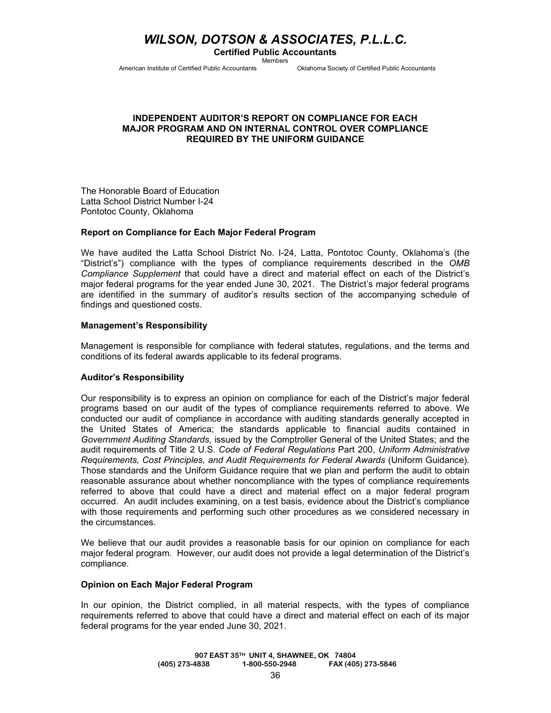# *WILSON, DOTSON & ASSOCIATES, P.L.L.C.*

**Certified Public Accountants**

Members

American Institute of Certified Public Accountants Oklahoma Society of Certified Public Accountants

# **INDEPENDENT AUDITOR'S REPORT ON COMPLIANCE FOR EACH MAJOR PROGRAM AND ON INTERNAL CONTROL OVER COMPLIANCE REQUIRED BY THE UNIFORM GUIDANCE**

The Honorable Board of Education Latta School District Number I-24 Pontotoc County, Oklahoma

#### **Report on Compliance for Each Major Federal Program**

We have audited the Latta School District No. I-24, Latta, Pontotoc County, Oklahoma's (the "District's") compliance with the types of compliance requirements described in the *OMB Compliance Supplement* that could have a direct and material effect on each of the District's major federal programs for the year ended June 30, 2021. The District's major federal programs are identified in the summary of auditor's results section of the accompanying schedule of findings and questioned costs.

#### **Management's Responsibility**

Management is responsible for compliance with federal statutes, regulations, and the terms and conditions of its federal awards applicable to its federal programs.

#### **Auditor's Responsibility**

Our responsibility is to express an opinion on compliance for each of the District's major federal programs based on our audit of the types of compliance requirements referred to above. We conducted our audit of compliance in accordance with auditing standards generally accepted in the United States of America; the standards applicable to financial audits contained in *Government Auditing Standards*, issued by the Comptroller General of the United States; and the audit requirements of Title 2 U.S. *Code of Federal Regulations* Part 200, *Uniform Administrative Requirements, Cost Principles, and Audit Requirements for Federal Awards* (Uniform Guidance)*.*  Those standards and the Uniform Guidance require that we plan and perform the audit to obtain reasonable assurance about whether noncompliance with the types of compliance requirements referred to above that could have a direct and material effect on a major federal program occurred. An audit includes examining, on a test basis, evidence about the District's compliance with those requirements and performing such other procedures as we considered necessary in the circumstances.

We believe that our audit provides a reasonable basis for our opinion on compliance for each major federal program. However, our audit does not provide a legal determination of the District's compliance.

#### **Opinion on Each Major Federal Program**

In our opinion, the District complied, in all material respects, with the types of compliance requirements referred to above that could have a direct and material effect on each of its major federal programs for the year ended June 30, 2021.

> **907 EAST 35TH UNIT 4, SHAWNEE, OK 74804 (405) 273-4838 1-800-550-2948 FAX (405) 273-5846**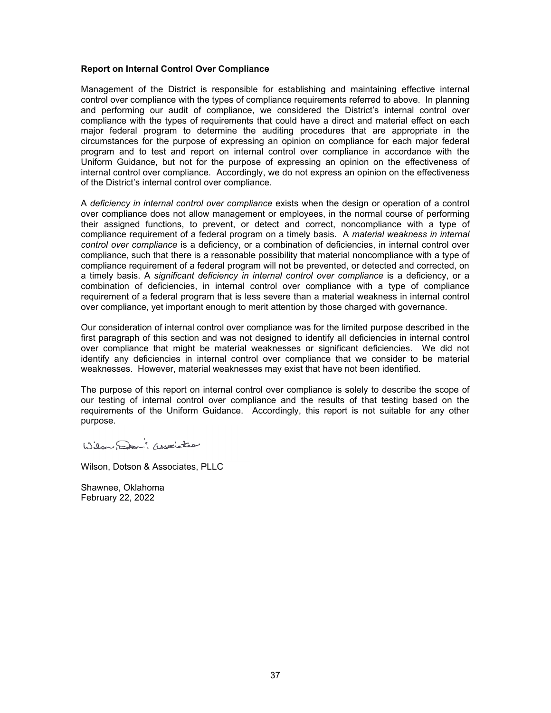#### **Report on Internal Control Over Compliance**

Management of the District is responsible for establishing and maintaining effective internal control over compliance with the types of compliance requirements referred to above. In planning and performing our audit of compliance, we considered the District's internal control over compliance with the types of requirements that could have a direct and material effect on each major federal program to determine the auditing procedures that are appropriate in the circumstances for the purpose of expressing an opinion on compliance for each major federal program and to test and report on internal control over compliance in accordance with the Uniform Guidance, but not for the purpose of expressing an opinion on the effectiveness of internal control over compliance. Accordingly, we do not express an opinion on the effectiveness of the District's internal control over compliance.

A *deficiency in internal control over compliance* exists when the design or operation of a control over compliance does not allow management or employees, in the normal course of performing their assigned functions, to prevent, or detect and correct, noncompliance with a type of compliance requirement of a federal program on a timely basis. A *material weakness in internal control over compliance* is a deficiency, or a combination of deficiencies, in internal control over compliance, such that there is a reasonable possibility that material noncompliance with a type of compliance requirement of a federal program will not be prevented, or detected and corrected, on a timely basis. A *significant deficiency in internal control over compliance* is a deficiency, or a combination of deficiencies, in internal control over compliance with a type of compliance requirement of a federal program that is less severe than a material weakness in internal control over compliance, yet important enough to merit attention by those charged with governance.

Our consideration of internal control over compliance was for the limited purpose described in the first paragraph of this section and was not designed to identify all deficiencies in internal control over compliance that might be material weaknesses or significant deficiencies. We did not identify any deficiencies in internal control over compliance that we consider to be material weaknesses. However, material weaknesses may exist that have not been identified.

The purpose of this report on internal control over compliance is solely to describe the scope of our testing of internal control over compliance and the results of that testing based on the requirements of the Uniform Guidance. Accordingly, this report is not suitable for any other purpose.

Wilson, Dan: associates

Wilson, Dotson & Associates, PLLC

Shawnee, Oklahoma February 22, 2022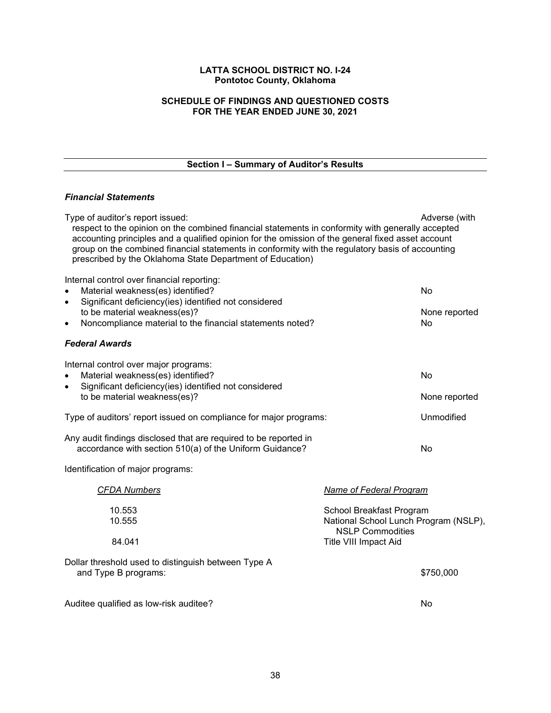# **SCHEDULE OF FINDINGS AND QUESTIONED COSTS FOR THE YEAR ENDED JUNE 30, 2021**

**Section I – Summary of Auditor's Results**

# *Financial Statements*

| Type of auditor's report issued:<br>respect to the opinion on the combined financial statements in conformity with generally accepted<br>accounting principles and a qualified opinion for the omission of the general fixed asset account<br>group on the combined financial statements in conformity with the regulatory basis of accounting<br>prescribed by the Oklahoma State Department of Education) |                                                                                              | Adverse (with             |
|-------------------------------------------------------------------------------------------------------------------------------------------------------------------------------------------------------------------------------------------------------------------------------------------------------------------------------------------------------------------------------------------------------------|----------------------------------------------------------------------------------------------|---------------------------|
| Internal control over financial reporting:<br>Material weakness(es) identified?<br>Significant deficiency(ies) identified not considered<br>$\bullet$<br>to be material weakness(es)?<br>Noncompliance material to the financial statements noted?<br>٠                                                                                                                                                     |                                                                                              | No<br>None reported<br>No |
| <b>Federal Awards</b>                                                                                                                                                                                                                                                                                                                                                                                       |                                                                                              |                           |
| Internal control over major programs:<br>Material weakness(es) identified?<br>Significant deficiency(ies) identified not considered<br>$\bullet$<br>to be material weakness(es)?                                                                                                                                                                                                                            |                                                                                              | No<br>None reported       |
| Type of auditors' report issued on compliance for major programs:                                                                                                                                                                                                                                                                                                                                           |                                                                                              | Unmodified                |
| Any audit findings disclosed that are required to be reported in<br>accordance with section 510(a) of the Uniform Guidance?                                                                                                                                                                                                                                                                                 |                                                                                              | No                        |
| Identification of major programs:                                                                                                                                                                                                                                                                                                                                                                           |                                                                                              |                           |
| <b>CFDA Numbers</b>                                                                                                                                                                                                                                                                                                                                                                                         | Name of Federal Program                                                                      |                           |
| 10.553<br>10.555                                                                                                                                                                                                                                                                                                                                                                                            | School Breakfast Program<br>National School Lunch Program (NSLP),<br><b>NSLP Commodities</b> |                           |
| 84.041                                                                                                                                                                                                                                                                                                                                                                                                      | Title VIII Impact Aid                                                                        |                           |
| Dollar threshold used to distinguish between Type A<br>and Type B programs:                                                                                                                                                                                                                                                                                                                                 |                                                                                              | \$750,000                 |
| Auditee qualified as low-risk auditee?                                                                                                                                                                                                                                                                                                                                                                      |                                                                                              | No                        |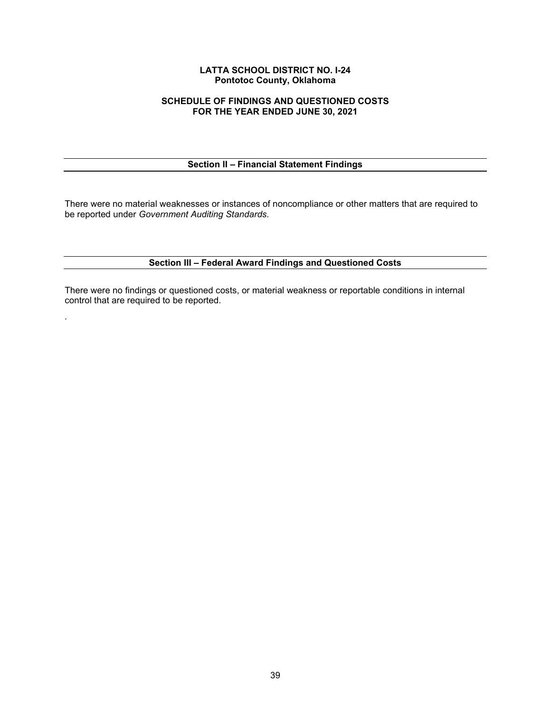# **SCHEDULE OF FINDINGS AND QUESTIONED COSTS FOR THE YEAR ENDED JUNE 30, 2021**

# **Section II – Financial Statement Findings**

There were no material weaknesses or instances of noncompliance or other matters that are required to be reported under *Government Auditing Standards.*

# **Section III – Federal Award Findings and Questioned Costs**

There were no findings or questioned costs, or material weakness or reportable conditions in internal control that are required to be reported.

*.*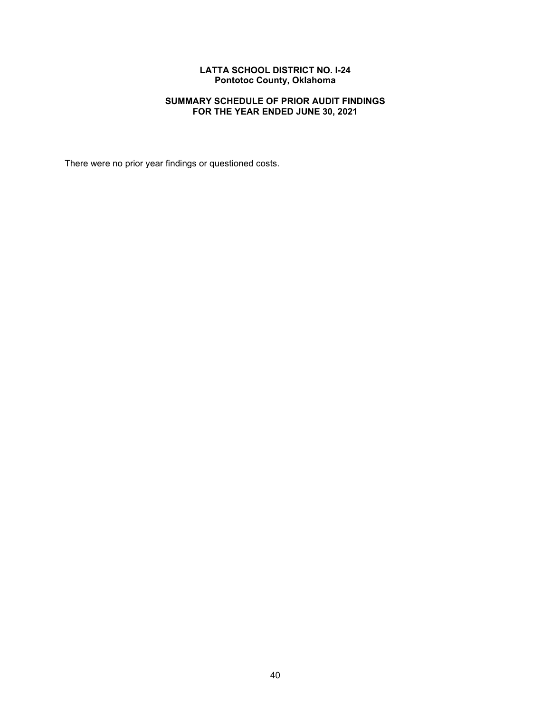# **SUMMARY SCHEDULE OF PRIOR AUDIT FINDINGS FOR THE YEAR ENDED JUNE 30, 2021**

There were no prior year findings or questioned costs.